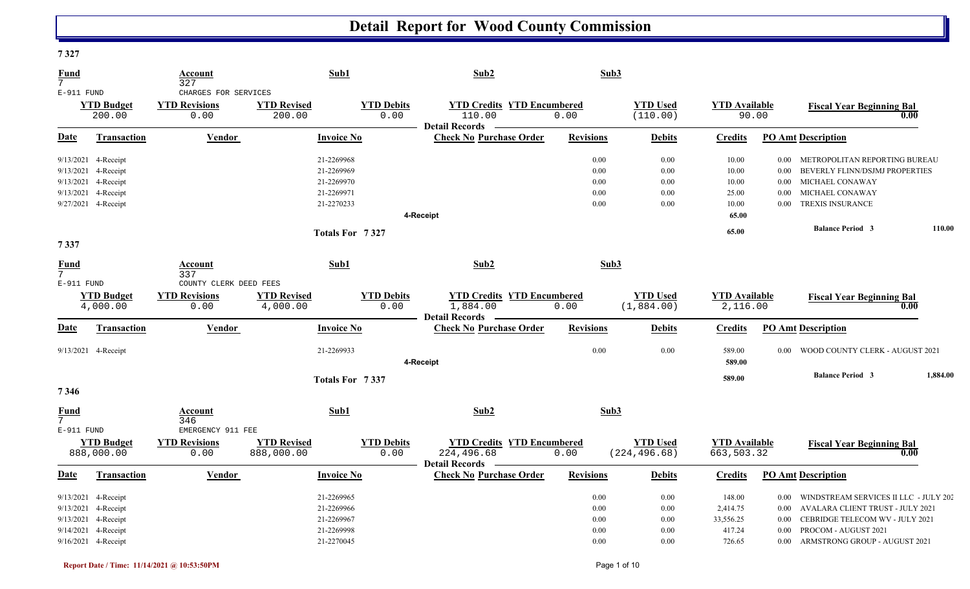**7 327** 

| <b>Fund</b>                     |                                            | Account                                      | Sub1               |                   | Sub2                                                    | Sub3             |                 |                      |          |                                          |          |
|---------------------------------|--------------------------------------------|----------------------------------------------|--------------------|-------------------|---------------------------------------------------------|------------------|-----------------|----------------------|----------|------------------------------------------|----------|
| $7\overline{ }$                 |                                            | 327                                          |                    |                   |                                                         |                  |                 |                      |          |                                          |          |
| E-911 FUND                      | <b>YTD Budget</b>                          | CHARGES FOR SERVICES<br><b>YTD Revisions</b> | <b>YTD Revised</b> | <b>YTD Debits</b> | <b>YTD Credits YTD Encumbered</b>                       |                  | <b>YTD</b> Used | <b>YTD Available</b> |          |                                          |          |
|                                 | 200.00                                     | 0.00                                         | 200.00             | 0.00              | 110.00                                                  | 0.00             | (110.00)        | 90.00                |          | <b>Fiscal Year Beginning Bal</b><br>0.00 |          |
| Date                            | Transaction                                | Vendor                                       | <b>Invoice No</b>  |                   | <b>Detail Records</b><br><b>Check No Purchase Order</b> | <b>Revisions</b> | <b>Debits</b>   | <b>Credits</b>       |          | <b>PO Amt Description</b>                |          |
|                                 | 9/13/2021 4-Receipt                        |                                              | 21-2269968         |                   |                                                         | 0.00             | 0.00            | 10.00                | 0.00     | METROPOLITAN REPORTING BUREAU            |          |
|                                 | 9/13/2021 4-Receipt                        |                                              | 21-2269969         |                   |                                                         | 0.00             | 0.00            | 10.00                | 0.00     | BEVERLY FLINN/DSJMJ PROPERTIES           |          |
|                                 | 9/13/2021 4-Receipt                        |                                              | 21-2269970         |                   |                                                         | 0.00             | 0.00            | 10.00                | 0.00     | MICHAEL CONAWAY                          |          |
|                                 | 9/13/2021 4-Receipt                        |                                              | 21-2269971         |                   |                                                         | 0.00             | 0.00            | 25.00                | 0.00     | MICHAEL CONAWAY                          |          |
|                                 | 9/27/2021 4-Receipt                        |                                              | 21-2270233         |                   |                                                         | 0.00             | 0.00            | 10.00                | 0.00     | <b>TREXIS INSURANCE</b>                  |          |
|                                 |                                            |                                              |                    |                   | 4-Receipt                                               |                  |                 | 65.00                |          |                                          |          |
|                                 |                                            |                                              |                    | Totals For 7327   |                                                         |                  |                 | 65.00                |          | <b>Balance Period 3</b>                  | 110.00   |
| 7337                            |                                            |                                              |                    |                   |                                                         |                  |                 |                      |          |                                          |          |
| <b>Fund</b>                     |                                            | Account                                      | Sub1               |                   | Sub <sub>2</sub>                                        | Sub3             |                 |                      |          |                                          |          |
| $7\overline{ }$<br>$E-911$ FUND |                                            | 337<br>COUNTY CLERK DEED FEES                |                    |                   |                                                         |                  |                 |                      |          |                                          |          |
|                                 | <b>YTD Budget</b>                          | <b>YTD Revisions</b>                         | <b>YTD Revised</b> | <b>YTD Debits</b> | <b>YTD Credits YTD Encumbered</b>                       |                  | <b>YTD Used</b> | <b>YTD Available</b> |          |                                          |          |
|                                 | 4,000.00                                   | 0.00                                         | 4,000.00           | 0.00              | 1,884.00                                                | 0.00             | (1,884.00)      | 2,116.00             |          | <b>Fiscal Year Beginning Bal</b><br>0.00 |          |
|                                 |                                            |                                              |                    |                   | <b>Detail Records</b>                                   |                  |                 |                      |          |                                          |          |
|                                 |                                            |                                              |                    |                   |                                                         |                  |                 |                      |          |                                          |          |
| <u>Date</u>                     | Transaction                                | Vendor                                       | <b>Invoice No</b>  |                   | <b>Check No Purchase Order</b>                          | <b>Revisions</b> | <b>Debits</b>   | <b>Credits</b>       |          | <b>PO Amt Description</b>                |          |
|                                 | 9/13/2021 4-Receipt                        |                                              | 21-2269933         |                   |                                                         | 0.00             | 0.00            | 589.00               | $0.00\,$ | WOOD COUNTY CLERK - AUGUST 2021          |          |
|                                 |                                            |                                              |                    |                   | 4-Receipt                                               |                  |                 | 589.00               |          |                                          |          |
|                                 |                                            |                                              |                    |                   |                                                         |                  |                 | 589.00               |          | <b>Balance Period 3</b>                  | 1,884.00 |
| 7346                            |                                            |                                              |                    | Totals For 7337   |                                                         |                  |                 |                      |          |                                          |          |
| Fund                            |                                            | Account                                      | Sub1               |                   | Sub2                                                    | Sub3             |                 |                      |          |                                          |          |
| 7<br>$E-911$ FUND               |                                            | 346<br>EMERGENCY 911 FEE                     |                    |                   |                                                         |                  |                 |                      |          |                                          |          |
|                                 |                                            |                                              | <b>YTD Revised</b> | <b>YTD Debits</b> | <b>YTD Credits YTD Encumbered</b>                       |                  | <b>YTD Used</b> | <b>YTD</b> Available |          |                                          |          |
|                                 | <b>YTD Budget</b><br>888,000.00            | <b>YTD Revisions</b><br>0.00                 | 888,000.00         | 0.00              | 224,496.68                                              | 0.00             | (224, 496.68)   | 663,503.32           |          | <b>Fiscal Year Beginning Bal</b><br>0.00 |          |
| Date                            | <b>Transaction</b>                         | <b>Vendor</b>                                | <b>Invoice No</b>  |                   | <b>Detail Records</b><br><b>Check No Purchase Order</b> | <b>Revisions</b> | <b>Debits</b>   | <b>Credits</b>       |          | <b>PO Amt Description</b>                |          |
|                                 | 9/13/2021 4-Receipt                        |                                              | 21-2269965         |                   |                                                         | 0.00             | 0.00            | 148.00               | 0.00     | WINDSTREAM SERVICES II LLC - JULY 202    |          |
|                                 | 9/13/2021 4-Receipt                        |                                              | 21-2269966         |                   |                                                         | 0.00             | 0.00            | 2,414.75             | 0.00     | AVALARA CLIENT TRUST - JULY 2021         |          |
|                                 | 9/13/2021 4-Receipt                        |                                              | 21-2269967         |                   |                                                         | 0.00             | 0.00            | 33,556.25            | $0.00\,$ | CEBRIDGE TELECOM WV - JULY 2021          |          |
|                                 | 9/14/2021 4-Receipt<br>9/16/2021 4-Receipt |                                              | 21-2269998         |                   |                                                         | 0.00             | 0.00            | 417.24               | 0.00     | PROCOM - AUGUST 2021                     |          |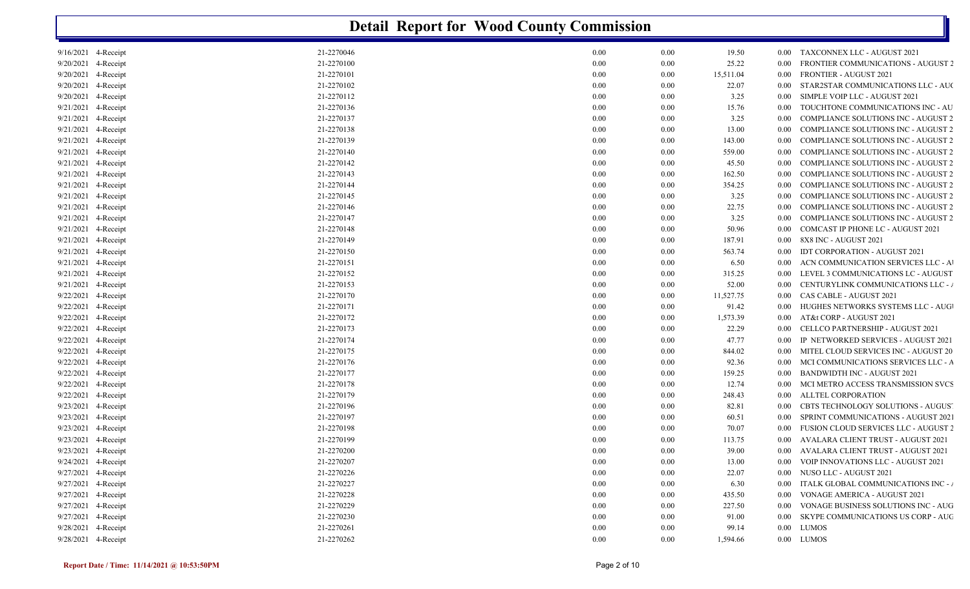|                        |            | <b>Detail Report for Wood County Commission</b> |                      |          |                                            |
|------------------------|------------|-------------------------------------------------|----------------------|----------|--------------------------------------------|
| 9/16/2021 4-Receipt    | 21-2270046 | 0.00                                            | 0.00<br>19.50        | $0.00\,$ | TAXCONNEX LLC - AUGUST 2021                |
| 9/20/2021 4-Receipt    | 21-2270100 | 0.00                                            | 25.22<br>0.00        | 0.00     | <b>FRONTIER COMMUNICATIONS - AUGUST 2</b>  |
| 9/20/2021<br>4-Receipt | 21-2270101 | 0.00                                            | 0.00<br>15,511.04    | 0.00     | <b>FRONTIER - AUGUST 2021</b>              |
| 9/20/2021<br>4-Receipt | 21-2270102 | 0.00                                            | 0.00<br>22.07        | 0.00     | STAR2STAR COMMUNICATIONS LLC - AU(         |
| 9/20/2021<br>4-Receipt | 21-2270112 | 0.00                                            | 0.00<br>3.25         | 0.00     | SIMPLE VOIP LLC - AUGUST 2021              |
| 9/21/2021<br>4-Receipt | 21-2270136 | 0.00                                            | 0.00<br>15.76        | 0.00     | TOUCHTONE COMMUNICATIONS INC - AU          |
| 9/21/2021<br>4-Receipt | 21-2270137 | 0.00                                            | 0.00<br>3.25         | 0.00     | <b>COMPLIANCE SOLUTIONS INC - AUGUST 2</b> |
| 9/21/2021<br>4-Receipt | 21-2270138 | 0.00                                            | 0.00<br>13.00        | 0.00     | <b>COMPLIANCE SOLUTIONS INC - AUGUST 2</b> |
| 9/21/2021<br>4-Receipt | 21-2270139 | 0.00                                            | 0.00<br>143.00       | 0.00     | <b>COMPLIANCE SOLUTIONS INC - AUGUST 2</b> |
| 9/21/2021<br>4-Receipt | 21-2270140 | 0.00                                            | 0.00<br>559.00       | 0.00     | <b>COMPLIANCE SOLUTIONS INC - AUGUST 2</b> |
| 9/21/2021<br>4-Receipt | 21-2270142 | 0.00                                            | 0.00<br>45.50        | 0.00     | <b>COMPLIANCE SOLUTIONS INC - AUGUST 2</b> |
| 9/21/2021<br>4-Receipt | 21-2270143 | 0.00                                            | 0.00<br>162.50       | $0.00\,$ | <b>COMPLIANCE SOLUTIONS INC - AUGUST 2</b> |
| 9/21/2021<br>4-Receipt | 21-2270144 | 0.00                                            | 0.00<br>354.25       | 0.00     | <b>COMPLIANCE SOLUTIONS INC - AUGUST 2</b> |
| 9/21/2021<br>4-Receipt | 21-2270145 | 0.00                                            | 0.00<br>3.25         | 0.00     | COMPLIANCE SOLUTIONS INC - AUGUST 2        |
| 9/21/2021<br>4-Receipt | 21-2270146 | 0.00                                            | 0.00<br>22.75        | 0.00     | COMPLIANCE SOLUTIONS INC - AUGUST 2        |
| 9/21/2021<br>4-Receipt | 21-2270147 | 0.00                                            | 0.00<br>3.25         | 0.00     | <b>COMPLIANCE SOLUTIONS INC - AUGUST 2</b> |
| 9/21/2021<br>4-Receipt | 21-2270148 | 0.00                                            | 0.00<br>50.96        | 0.00     | COMCAST IP PHONE LC - AUGUST 2021          |
| 9/21/2021<br>4-Receipt | 21-2270149 | 0.00                                            | 0.00<br>187.91       | $0.00\,$ | 8X8 INC - AUGUST 2021                      |
| 9/21/2021<br>4-Receipt | 21-2270150 | 0.00                                            | 0.00<br>563.74       | 0.00     | <b>IDT CORPORATION - AUGUST 2021</b>       |
| 9/21/2021<br>4-Receipt | 21-2270151 | 0.00                                            | 0.00<br>6.50         | 0.00     | ACN COMMUNICATION SERVICES LLC - A         |
| 9/21/2021<br>4-Receipt | 21-2270152 | 0.00                                            | 0.00<br>315.25       | 0.00     | LEVEL 3 COMMUNICATIONS LC - AUGUST         |
| 9/21/2021<br>4-Receipt | 21-2270153 | 0.00                                            | 0.00<br>52.00        | 0.00     | CENTURYLINK COMMUNICATIONS LLC - /         |
| 9/22/2021<br>4-Receipt | 21-2270170 | 0.00                                            | 11,527.75<br>0.00    | $0.00\,$ | CAS CABLE - AUGUST 2021                    |
| 9/22/2021<br>4-Receipt | 21-2270171 | 0.00                                            | 0.00<br>91.42        | $0.00\,$ | HUGHES NETWORKS SYSTEMS LLC - AUG          |
| 9/22/2021<br>4-Receipt | 21-2270172 | 0.00                                            | 0.00<br>1,573.39     | $0.00\,$ | AT&t CORP - AUGUST 2021                    |
| 9/22/2021<br>4-Receipt | 21-2270173 | 0.00                                            | 0.00<br>22.29        | 0.00     | <b>CELLCO PARTNERSHIP - AUGUST 2021</b>    |
| 9/22/2021<br>4-Receipt | 21-2270174 | 0.00                                            | 0.00<br>47.77        | 0.00     | IP NETWORKED SERVICES - AUGUST 2021        |
| 9/22/2021<br>4-Receipt | 21-2270175 | 0.00                                            | 0.00<br>844.02       | 0.00     | MITEL CLOUD SERVICES INC - AUGUST 20       |
| 9/22/2021<br>4-Receipt | 21-2270176 | 0.00                                            | 0.00<br>92.36        | 0.00     | MCI COMMUNICATIONS SERVICES LLC - A        |
| 9/22/2021<br>4-Receipt | 21-2270177 | 0.00                                            | 0.00<br>159.25       | 0.00     | <b>BANDWIDTH INC - AUGUST 2021</b>         |
| 9/22/2021<br>4-Receipt | 21-2270178 | 0.00                                            | 0.00<br>12.74        | 0.00     | MCI METRO ACCESS TRANSMISSION SVCS         |
| 9/22/2021<br>4-Receipt | 21-2270179 | 0.00                                            | 0.00<br>248.43       | 0.00     | ALLTEL CORPORATION                         |
| 9/23/2021<br>4-Receipt | 21-2270196 | 0.00                                            | 0.00<br>82.81        | 0.00     | <b>CBTS TECHNOLOGY SOLUTIONS - AUGUS'</b>  |
| 9/23/2021<br>4-Receipt | 21-2270197 | 0.00                                            | 0.00<br>60.51        | 0.00     | SPRINT COMMUNICATIONS - AUGUST 2021        |
| 9/23/2021 4-Receipt    | 21-2270198 | 0.00                                            | 0.00<br>70.07        | $0.00\,$ | FUSION CLOUD SERVICES LLC - AUGUST 2       |
| 9/23/2021 4-Receipt    | 21-2270199 | 0.00                                            | 0.00<br>113.75       |          | 0.00 AVALARA CLIENT TRUST - AUGUST 2021    |
| 9/23/2021 4-Receipt    | 21-2270200 | 0.00                                            | 39.00<br>$0.00\,$    |          | 0.00 AVALARA CLIENT TRUST - AUGUST 2021    |
| 9/24/2021 4-Receipt    | 21-2270207 | 0.00                                            | 0.00<br>13.00        |          | 0.00 VOIP INNOVATIONS LLC - AUGUST 2021    |
| 9/27/2021 4-Receipt    | 21-2270226 | 0.00                                            | 0.00<br>22.07        |          | 0.00 NUSO LLC - AUGUST 2021                |
| 9/27/2021 4-Receipt    | 21-2270227 | 0.00                                            | 0.00<br>6.30         |          | 0.00 ITALK GLOBAL COMMUNICATIONS INC -     |
| 9/27/2021 4-Receipt    | 21-2270228 | 0.00                                            | 0.00<br>435.50       |          | 0.00 VONAGE AMERICA - AUGUST 2021          |
| 9/27/2021 4-Receipt    | 21-2270229 | 0.00                                            | 0.00<br>227.50       |          | 0.00 VONAGE BUSINESS SOLUTIONS INC - AUG   |
| 9/27/2021 4-Receipt    | 21-2270230 | 0.00                                            | 0.00<br>91.00        |          | 0.00 SKYPE COMMUNICATIONS US CORP - AUC    |
| 9/28/2021 4-Receipt    | 21-2270261 | 0.00                                            | 0.00<br>99.14        |          | 0.00 LUMOS                                 |
| 9/28/2021 4-Receipt    | 21-2270262 | $0.00\,$                                        | $0.00\,$<br>1,594.66 |          | $0.00$ LUMOS                               |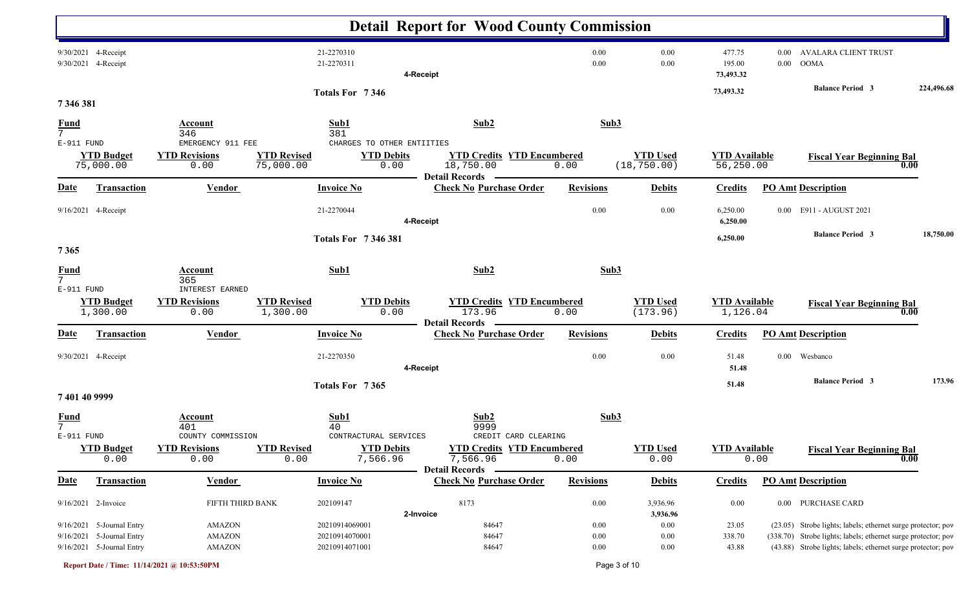|                                |                                            |                                                   |                                 |                                                         | <b>Detail Report for Wood County Commission</b>                         |                  |                                 |                                   |                      |                                                               |            |
|--------------------------------|--------------------------------------------|---------------------------------------------------|---------------------------------|---------------------------------------------------------|-------------------------------------------------------------------------|------------------|---------------------------------|-----------------------------------|----------------------|---------------------------------------------------------------|------------|
|                                | 9/30/2021 4-Receipt<br>9/30/2021 4-Receipt |                                                   | 21-2270310<br>21-2270311        | 4-Receipt                                               |                                                                         | 0.00<br>0.00     | 0.00<br>$0.00\,$                | 477.75<br>195.00<br>73,493.32     | $0.00\,$<br>$0.00\,$ | <b>AVALARA CLIENT TRUST</b><br><b>OOMA</b>                    |            |
| 7346381                        |                                            |                                                   | Totals For 7346                 |                                                         |                                                                         |                  |                                 | 73,493.32                         |                      | <b>Balance Period 3</b>                                       | 224,496.68 |
| <b>Fund</b><br>$\overline{7}$  |                                            | Account<br>346                                    | Sub1<br>381                     |                                                         | Sub2                                                                    |                  | Sub3                            |                                   |                      |                                                               |            |
| $E-911$ FUND                   | <b>YTD Budget</b><br>75,000.00             | EMERGENCY 911 FEE<br><b>YTD Revisions</b><br>0.00 | <b>YTD Revised</b><br>75,000.00 | CHARGES TO OTHER ENTIITIES<br><b>YTD Debits</b><br>0.00 | <b>YTD Credits YTD Encumbered</b><br>18,750.00<br><b>Detail Records</b> | 0.00             | <b>YTD Used</b><br>(18, 750.00) | <b>YTD Available</b><br>56,250.00 |                      | <b>Fiscal Year Beginning Bal</b>                              | 0.00       |
| <u>Date</u>                    | Transaction                                | <b>Vendor</b>                                     | <b>Invoice No</b>               |                                                         | <b>Check No Purchase Order</b>                                          | <b>Revisions</b> | <b>Debits</b>                   | <b>Credits</b>                    |                      | PO_Amt Description                                            |            |
|                                | 9/16/2021 4-Receipt                        |                                                   | 21-2270044                      | 4-Receipt                                               |                                                                         | 0.00             | 0.00                            | 6,250.00<br>6,250.00              |                      | 0.00 E911 - AUGUST 2021                                       |            |
| 7365                           |                                            |                                                   |                                 | <b>Totals For 7346381</b>                               |                                                                         |                  |                                 | 6,250.00                          |                      | <b>Balance Period 3</b>                                       | 18,750.00  |
| <b>Fund</b><br>$7\overline{ }$ |                                            | Account<br>365                                    | Sub1                            |                                                         | Sub2                                                                    |                  | Sub <sub>3</sub>                |                                   |                      |                                                               |            |
| E-911 FUND                     | <b>YTD Budget</b><br>1,300.00              | INTEREST EARNED<br><b>YTD Revisions</b><br>0.00   | <b>YTD Revised</b><br>1,300.00  | <b>YTD Debits</b><br>0.00                               | <b>YTD Credits YTD Encumbered</b><br>173.96<br><b>Detail Records</b>    | 0.00             | <b>YTD Used</b><br>(173.96)     | <b>YTD Available</b><br>1,126.04  |                      | <b>Fiscal Year Beginning Bal</b>                              | 0.00       |
| <u>Date</u>                    | Transaction                                | Vendor                                            | <b>Invoice No</b>               |                                                         | <b>Check No Purchase Order</b>                                          | <b>Revisions</b> | <b>Debits</b>                   | <b>Credits</b>                    |                      | <b>PO Amt Description</b>                                     |            |
|                                | 9/30/2021 4-Receipt                        |                                                   | 21-2270350                      | 4-Receipt                                               |                                                                         | 0.00             | 0.00                            | 51.48<br>51.48                    | $0.00\,$             | Wesbanco                                                      |            |
| 7401409999                     |                                            |                                                   | Totals For 7365                 |                                                         |                                                                         |                  |                                 | 51.48                             |                      | <b>Balance Period 3</b>                                       | 173.96     |
| $\frac{Fund}{7}$<br>E-911 FUND |                                            | <b>Account</b><br>401<br>COUNTY COMMISSION        | Sub1<br>40                      | CONTRACTURAL SERVICES                                   | Sub2<br>9999<br>CREDIT CARD CLEARING                                    |                  | Sub3                            |                                   |                      |                                                               |            |
|                                | <b>YTD Budget</b><br>0.00                  | <b>YTD Revisions</b><br>0.00                      | <b>YTD Revised</b><br>0.00      | <b>YTD Debits</b><br>7,566.96                           | <b>YTD Credits YTD Encumbered</b><br>7,566.96<br><b>Detail Records</b>  | 0.00             | <b>YTD Used</b><br>0.00         | <b>YTD</b> Available              | 0.00                 | <b>Fiscal Year Beginning Bal</b>                              | 0.00       |
| <b>Date</b>                    | <b>Transaction</b>                         | <b>Vendor</b>                                     | <b>Invoice No</b>               |                                                         | <b>Check No Purchase Order</b>                                          | <b>Revisions</b> | <b>Debits</b>                   | <b>Credits</b>                    |                      | <b>PO Amt Description</b>                                     |            |
|                                | 9/16/2021 2-Invoice                        | FIFTH THIRD BANK                                  | 202109147                       | 2-Invoice                                               | 8173                                                                    | 0.00             | 3,936.96<br>3,936.96            | 0.00                              |                      | 0.00 PURCHASE CARD                                            |            |
|                                | 9/16/2021 5-Journal Entry                  | AMAZON                                            | 20210914069001                  |                                                         | 84647                                                                   | 0.00             | $0.00\,$                        | 23.05                             |                      | (23.05) Strobe lights; labels; ethernet surge protector; pov  |            |
|                                | 9/16/2021 5-Journal Entry                  | AMAZON                                            | 20210914070001                  |                                                         | 84647                                                                   | 0.00             | $0.00\,$                        | 338.70                            |                      | (338.70) Strobe lights; labels; ethernet surge protector; pov |            |
|                                | 9/16/2021 5-Journal Entry                  | AMAZON                                            | 20210914071001                  |                                                         | 84647                                                                   | 0.00             | 0.00                            | 43.88                             |                      | (43.88) Strobe lights; labels; ethernet surge protector; pov  |            |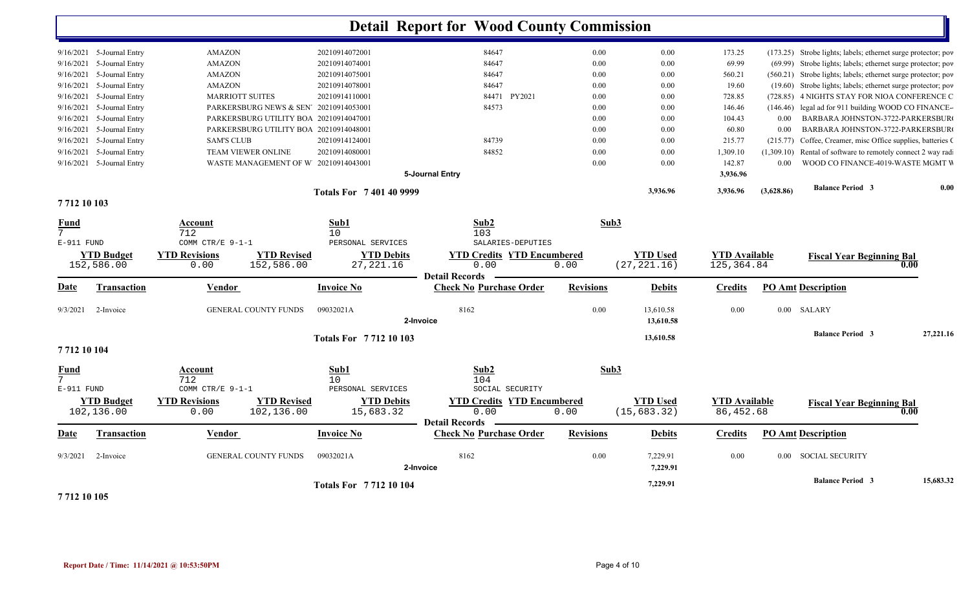|                                   |                                 |                                    |                                        |                                 | <b>Detail Report for Wood County Commission</b>                    |                  |                                 |                                    |            |                                                               |           |
|-----------------------------------|---------------------------------|------------------------------------|----------------------------------------|---------------------------------|--------------------------------------------------------------------|------------------|---------------------------------|------------------------------------|------------|---------------------------------------------------------------|-----------|
|                                   | $9/16/2021$ 5-Journal Entry     | <b>AMAZON</b>                      |                                        | 20210914072001                  | 84647                                                              | 0.00             | 0.00                            | 173.25                             |            | (173.25) Strobe lights; labels; ethernet surge protector; pov |           |
| 9/16/2021                         | 5-Journal Entry                 | <b>AMAZON</b>                      |                                        | 20210914074001                  | 84647                                                              | 0.00             | 0.00                            | 69.99                              |            | (69.99) Strobe lights; labels; ethernet surge protector; pov  |           |
| 9/16/2021                         | 5-Journal Entry                 | <b>AMAZON</b>                      |                                        | 20210914075001                  | 84647                                                              | 0.00             | 0.00                            | 560.21                             |            | (560.21) Strobe lights; labels; ethernet surge protector; pov |           |
| 9/16/2021                         | 5-Journal Entry                 | <b>AMAZON</b>                      |                                        | 20210914078001                  | 84647                                                              | 0.00             | 0.00                            | 19.60                              |            | (19.60) Strobe lights; labels; ethernet surge protector; pov  |           |
| 9/16/2021                         | 5-Journal Entry                 | <b>MARRIOTT SUITES</b>             |                                        | 20210914110001                  | 84471 PY2021                                                       | 0.00             | 0.00                            | 728.85                             |            | (728.85) 4 NIGHTS STAY FOR NIOA CONFERENCE C                  |           |
| 9/16/2021                         | 5-Journal Entry                 |                                    | PARKERSBURG NEWS & SEN' 20210914053001 |                                 | 84573                                                              | 0.00             | 0.00                            | 146.46                             |            | (146.46) legal ad for 911 building WOOD CO FINANCE-           |           |
| 9/16/2021                         | 5-Journal Entry                 |                                    | PARKERSBURG UTILITY BOA 20210914047001 |                                 |                                                                    | 0.00             | 0.00                            | 104.43                             | $0.00\,$   | BARBARA JOHNSTON-3722-PARKERSBUR                              |           |
| 9/16/2021                         | 5-Journal Entry                 |                                    | PARKERSBURG UTILITY BOA 20210914048001 |                                 |                                                                    | 0.00             | 0.00                            | 60.80                              | 0.00       | <b>BARBARA JOHNSTON-3722-PARKERSBUR</b>                       |           |
| 9/16/2021                         | 5-Journal Entry                 | <b>SAM'S CLUB</b>                  |                                        | 20210914124001                  | 84739                                                              | 0.00             | 0.00                            | 215.77                             | (215.77)   | Coffee, Creamer, misc Office supplies, batteries (            |           |
| 9/16/2021                         | 5-Journal Entry                 | TEAM VIEWER ONLINE                 |                                        | 20210914080001                  | 84852                                                              | 0.00             | 0.00                            | 1,309.10                           | (1,309.10) | Rental of software to remotely connect 2 way rad              |           |
|                                   | 9/16/2021 5-Journal Entry       |                                    | WASTE MANAGEMENT OF W 20210914043001   |                                 |                                                                    | 0.00             | 0.00                            | 142.87                             | 0.00       | WOOD CO FINANCE-4019-WASTE MGMT V                             |           |
|                                   |                                 |                                    |                                        |                                 | 5-Journal Entry                                                    |                  |                                 | 3,936.96                           |            |                                                               |           |
|                                   |                                 |                                    |                                        | Totals For 7 401 40 9999        |                                                                    |                  | 3,936.96                        | 3,936.96                           | (3,628.86) | <b>Balance Period 3</b>                                       | 0.00      |
| 7712 10 103                       |                                 |                                    |                                        |                                 |                                                                    |                  |                                 |                                    |            |                                                               |           |
| Fund<br>$7^{\circ}$<br>E-911 FUND |                                 | Account<br>712<br>COMM CTR/E 9-1-1 |                                        | Sub1<br>10<br>PERSONAL SERVICES | Sub2<br>103<br>SALARIES-DEPUTIES                                   | Sub3             |                                 |                                    |            |                                                               |           |
|                                   | <b>YTD Budget</b><br>152,586.00 | <b>YTD Revisions</b><br>0.00       | <b>YTD Revised</b><br>152,586.00       | <b>YTD Debits</b><br>27, 221.16 | <b>YTD Credits YTD Encumbered</b><br>0.00<br><b>Detail Records</b> | 0.00             | <b>YTD Used</b><br>(27, 221.16) | <b>YTD Available</b><br>125,364.84 |            | <b>Fiscal Year Beginning Bal</b>                              | 0.00      |
| <b>Date</b>                       | Transaction                     | Vendor                             |                                        | Invoice No                      | <b>Check No Purchase Order</b>                                     | <b>Revisions</b> | <b>Debits</b>                   | <b>Credits</b>                     |            | <b>PO Amt Description</b>                                     |           |
| 9/3/2021                          | 2-Invoice                       | GENERAL COUNTY FUNDS               |                                        | 09032021A                       | 8162<br>2-Invoice                                                  | 0.00             | 13,610.58<br>13,610.58          | 0.00                               |            | 0.00 SALARY                                                   |           |
|                                   |                                 |                                    |                                        | Totals For 7712 10 103          |                                                                    |                  | 13,610.58                       |                                    |            | <b>Balance Period 3</b>                                       | 27,221.16 |
| 7712 10 104                       |                                 |                                    |                                        |                                 |                                                                    |                  |                                 |                                    |            |                                                               |           |
| <b>Fund</b><br>$7\overline{ }$    |                                 | Account<br>712                     |                                        | Sub1<br>10                      | Sub2<br>104                                                        | Sub3             |                                 |                                    |            |                                                               |           |
| E-911 FUND                        |                                 | COMM CTR/E 9-1-1                   |                                        | PERSONAL SERVICES               | SOCIAL SECURITY                                                    |                  |                                 |                                    |            |                                                               |           |
|                                   | <b>YTD Budget</b><br>102,136.00 | <b>YTD Revisions</b><br>0.00       | <b>YTD Revised</b><br>102,136.00       | <b>YTD Debits</b><br>15,683.32  | <b>YTD Credits YTD Encumbered</b><br>0.00                          | 0.00             | <b>YTD Used</b><br>(15, 683.32) | <b>YTD</b> Available<br>86,452.68  |            | <b>Fiscal Year Beginning Bal</b>                              | 0.00      |
| <u>Date</u>                       | Transaction                     | Vendor                             |                                        | <b>Invoice No</b>               | <b>Detail Records</b><br><b>Check No Purchase Order</b>            | <b>Revisions</b> | <b>Debits</b>                   | <b>Credits</b>                     |            | <b>PO Amt Description</b>                                     |           |
| 9/3/2021                          | 2-Invoice                       | <b>GENERAL COUNTY FUNDS</b>        |                                        | 09032021A                       | 8162<br>2-Invoice                                                  | 0.00             | 7,229.91<br>7,229.91            | 0.00                               | $0.00\,$   | <b>SOCIAL SECURITY</b>                                        |           |
|                                   |                                 |                                    |                                        | <b>Totals For 771210104</b>     |                                                                    |                  | 7.229.91                        |                                    |            | <b>Balance Period 3</b>                                       | 15,683.32 |

**7 712 10 105**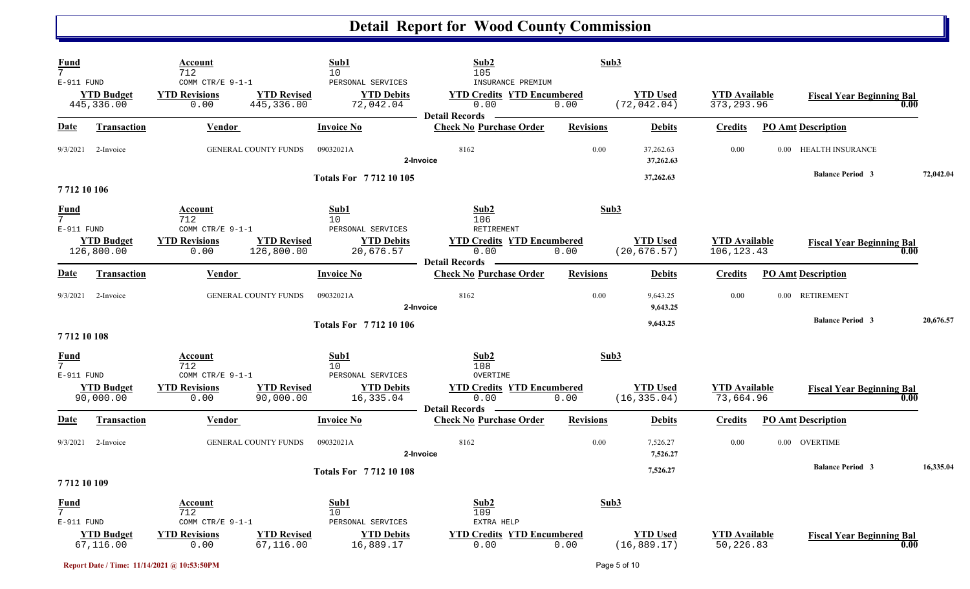| <b>Fund</b><br>$7^{\circ}$                  |                                 | Account<br>712                                     | Sub1<br>10 <sup>°</sup>                               | Sub2<br>105                                                                                      | Sub3                                    |                                      |                                  |           |
|---------------------------------------------|---------------------------------|----------------------------------------------------|-------------------------------------------------------|--------------------------------------------------------------------------------------------------|-----------------------------------------|--------------------------------------|----------------------------------|-----------|
| $E-911$ FUND                                | <b>YTD Budget</b><br>445,336.00 | COMM CTR/E 9-1-1<br><b>YTD Revisions</b><br>0.00   | PERSONAL SERVICES<br><b>YTD Revised</b><br>445,336.00 | INSURANCE PREMIUM<br><b>YTD Debits</b><br><b>YTD Credits YTD Encumbered</b><br>0.00<br>72,042.04 | <b>YTD Used</b><br>0.00<br>(72, 042.04) | <b>YTD Available</b><br>373, 293.96  | <b>Fiscal Year Beginning Bal</b> |           |
| <b>Date</b>                                 | <b>Transaction</b>              | <b>Vendor</b>                                      | <b>Invoice No</b>                                     | <b>Detail Records</b><br><b>Check No Purchase Order</b>                                          | <b>Revisions</b><br><b>Debits</b>       | <b>Credits</b>                       | <b>PO Amt Description</b>        |           |
| 9/3/2021                                    | 2-Invoice                       | <b>GENERAL COUNTY FUNDS</b>                        | 09032021A                                             | 8162<br>2-Invoice                                                                                | 0.00<br>37,262.63<br>37,262.63          | 0.00                                 | HEALTH INSURANCE<br>0.00         |           |
| 7712 10 106                                 |                                 |                                                    | <b>Totals For 771210105</b>                           |                                                                                                  | 37,262.63                               |                                      | <b>Balance Period 3</b>          | 72,042.04 |
| <b>Fund</b><br>$7^{\circ}$                  |                                 | Account<br>712                                     | Sub1<br>10                                            | Sub2<br>106                                                                                      | Sub3                                    |                                      |                                  |           |
| E-911 FUND                                  | <b>YTD Budget</b><br>126,800.00 | COMM CTR/E $9-1-1$<br><b>YTD Revisions</b><br>0.00 | PERSONAL SERVICES<br><b>YTD Revised</b><br>126,800.00 | RETIREMENT<br><b>YTD Debits</b><br><b>YTD Credits YTD Encumbered</b><br>20,676.57<br>0.00        | <b>YTD Used</b><br>(20, 676.57)<br>0.00 | <b>YTD Available</b><br>106, 123. 43 | <b>Fiscal Year Beginning Bal</b> | 0.00      |
| Date                                        | <b>Transaction</b>              | Vendor                                             | <b>Invoice No</b>                                     | <b>Detail Records</b><br><b>Check No Purchase Order</b>                                          | <b>Revisions</b><br><b>Debits</b>       | <b>Credits</b>                       | <b>PO Amt Description</b>        |           |
| 9/3/2021                                    | 2-Invoice                       | <b>GENERAL COUNTY FUNDS</b>                        | 09032021A                                             | 8162<br>2-Invoice                                                                                | 0.00<br>9,643.25<br>9,643.25            | 0.00                                 | <b>RETIREMENT</b><br>0.00        |           |
| 7712 10 108                                 |                                 |                                                    | <b>Totals For 771210106</b>                           |                                                                                                  | 9,643.25                                |                                      | <b>Balance Period 3</b>          | 20,676.57 |
| <b>Fund</b><br>$\overline{7}$<br>E-911 FUND |                                 | Account<br>712<br>COMM CTR/E 9-1-1                 | Sub1<br>10 <sup>°</sup><br>PERSONAL SERVICES          | Sub2<br>108<br>OVERTIME                                                                          | Sub3                                    |                                      |                                  |           |
|                                             | <b>YTD Budget</b><br>90,000.00  | <b>YTD Revisions</b><br>0.00                       | <b>YTD Revised</b><br>90,000.00                       | <b>YTD Debits</b><br><b>YTD Credits YTD Encumbered</b><br>16,335.04<br>0.00                      | <b>YTD Used</b><br>(16, 335.04)<br>0.00 | <b>YTD</b> Available<br>73,664.96    | <b>Fiscal Year Beginning Bal</b> | 0.00      |
| <b>Date</b>                                 | Transaction                     | <b>Vendor</b>                                      | <b>Invoice No</b>                                     | <b>Detail Records</b><br><b>Check No Purchase Order</b>                                          | <b>Revisions</b><br><b>Debits</b>       | <b>Credits</b>                       | <b>PO Amt Description</b>        |           |
| 9/3/2021                                    | 2-Invoice                       | <b>GENERAL COUNTY FUNDS</b>                        | 09032021A                                             | 8162<br>2-Invoice                                                                                | 0.00<br>7,526.27<br>7,526.27            | 0.00                                 | 0.00 OVERTIME                    |           |
| 7712 10 109                                 |                                 |                                                    | <b>Totals For 771210108</b>                           |                                                                                                  | 7,526.27                                |                                      | <b>Balance Period 3</b>          | 16,335.04 |
| $\frac{Fund}{7}$<br>$E-911$ FUND            |                                 | Account<br>712<br>COMM CTR/E $9-1-1$               | Sub1<br>10<br>PERSONAL SERVICES                       | Sub2<br>109<br>EXTRA HELP                                                                        | Sub3                                    |                                      |                                  |           |
|                                             | <b>YTD Budget</b><br>67,116.00  | <b>YTD Revisions</b><br>0.00                       | <b>YTD Revised</b><br>67,116.00                       | <b>YTD Debits</b><br><b>YTD Credits YTD Encumbered</b><br>16,889.17<br>0.00                      | <b>YTD Used</b><br>(16, 889.17)<br>0.00 | <b>YTD Available</b><br>50,226.83    | <b>Fiscal Year Beginning Bal</b> | 0.00      |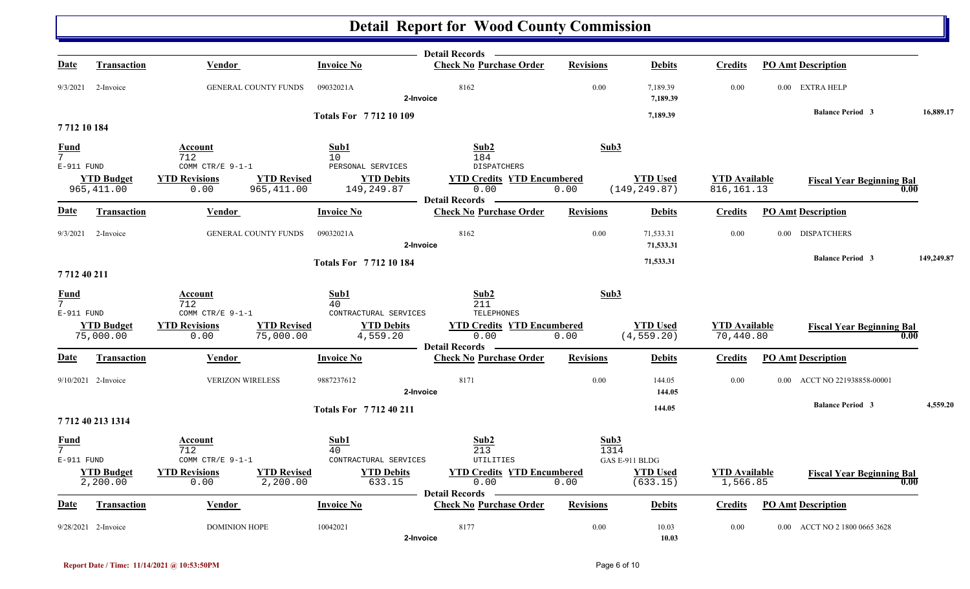|                                       |                                  |                                                                   |                                     | <b>Detail Records</b>                                              |                  |                                  |                                      |                                  |            |
|---------------------------------------|----------------------------------|-------------------------------------------------------------------|-------------------------------------|--------------------------------------------------------------------|------------------|----------------------------------|--------------------------------------|----------------------------------|------------|
| Date                                  | <b>Transaction</b>               | Vendor                                                            | <b>Invoice No</b>                   | <b>Check No Purchase Order</b>                                     | <b>Revisions</b> | <b>Debits</b>                    | <b>Credits</b>                       | <b>PO Amt Description</b>        |            |
| 9/3/2021                              | 2-Invoice                        | <b>GENERAL COUNTY FUNDS</b>                                       | 09032021A                           | 8162<br>2-Invoice                                                  | 0.00             | 7,189.39<br>7,189.39             | 0.00                                 | 0.00 EXTRA HELP                  |            |
|                                       |                                  |                                                                   | <b>Totals For 771210109</b>         |                                                                    |                  | 7,189.39                         |                                      | <b>Balance Period 3</b>          | 16,889.17  |
| 7712 10 184                           |                                  |                                                                   |                                     |                                                                    |                  |                                  |                                      |                                  |            |
| Fund<br>$7\overline{ }$<br>E-911 FUND |                                  | Account<br>712<br>COMM CTR/E 9-1-1                                | Sub1<br>10<br>PERSONAL SERVICES     | Sub <sub>2</sub><br>184<br><b>DISPATCHERS</b>                      | Sub3             |                                  |                                      |                                  |            |
|                                       | <b>YTD Budget</b><br>965, 411.00 | <b>YTD Revisions</b><br><b>YTD Revised</b><br>965, 411.00<br>0.00 | <b>YTD Debits</b><br>149,249.87     | <b>YTD Credits YTD Encumbered</b><br>0.00<br><b>Detail Records</b> | 0.00             | <b>YTD Used</b><br>(149, 249.87) | <b>YTD</b> Available<br>816, 161. 13 | <b>Fiscal Year Beginning Bal</b> | 0.00       |
| Date                                  | <b>Transaction</b>               | Vendor                                                            | <b>Invoice No</b>                   | <b>Check No Purchase Order</b>                                     | <b>Revisions</b> | <b>Debits</b>                    | <b>Credits</b>                       | <b>PO Amt Description</b>        |            |
| 9/3/2021                              | 2-Invoice                        | GENERAL COUNTY FUNDS                                              | 09032021A                           | 8162<br>2-Invoice                                                  | 0.00             | 71,533.31<br>71,533.31           | 0.00                                 | 0.00 DISPATCHERS                 |            |
| 771240211                             |                                  |                                                                   | <b>Totals For 771210184</b>         |                                                                    |                  | 71,533.31                        |                                      | <b>Balance Period 3</b>          | 149,249.87 |
| Fund<br>$7\overline{ }$<br>E-911 FUND |                                  | Account<br>712<br>COMM CTR/E 9-1-1                                | Sub1<br>40<br>CONTRACTURAL SERVICES | Sub2<br>211<br>TELEPHONES                                          | Sub3             |                                  |                                      |                                  |            |
|                                       | <b>YTD Budget</b><br>75,000.00   | <b>YTD Revisions</b><br><b>YTD Revised</b><br>75,000.00<br>0.00   | <b>YTD Debits</b><br>4,559.20       | <b>YTD Credits YTD Encumbered</b><br>0.00<br><b>Detail Records</b> | 0.00             | <b>YTD</b> Used<br>(4, 559.20)   | <b>YTD Available</b><br>70,440.80    | <b>Fiscal Year Beginning Bal</b> | 0.00       |
| Date                                  | <b>Transaction</b>               | <b>Vendor</b>                                                     | <b>Invoice No</b>                   | <b>Check No Purchase Order</b>                                     | <b>Revisions</b> | <b>Debits</b>                    | <b>Credits</b>                       | <b>PO Amt Description</b>        |            |
|                                       | 9/10/2021 2-Invoice              | <b>VERIZON WIRELESS</b>                                           | 9887237612                          | 8171<br>2-Invoice                                                  | 0.00             | 144.05<br>144.05                 | 0.00                                 | 0.00 ACCT NO 221938858-00001     |            |
|                                       | 7712 40 213 1314                 |                                                                   | <b>Totals For 771240211</b>         |                                                                    |                  | 144.05                           |                                      | <b>Balance Period 3</b>          | 4,559.20   |
| Fund<br>$7^{\circ}$<br>E-911 FUND     |                                  | <b>Account</b><br>712<br>COMM CTR/E 9-1-1                         | Sub1<br>40<br>CONTRACTURAL SERVICES | Sub2<br>213<br><b>UTILITIES</b>                                    | Sub3<br>1314     | GAS E-911 BLDG                   |                                      |                                  |            |
|                                       | <b>YTD Budget</b><br>2,200.00    | <b>YTD Revised</b><br><b>YTD Revisions</b><br>2,200.00<br>0.00    | <b>YTD Debits</b><br>633.15         | <b>YTD Credits YTD Encumbered</b><br>0.00<br><b>Detail Records</b> | 0.00             | <b>YTD</b> Used<br>(633.15)      | <b>YTD</b> Available<br>1,566.85     | <b>Fiscal Year Beginning Bal</b> | 0.00       |
| <u>Date</u>                           | <b>Transaction</b>               | Vendor                                                            | <b>Invoice No</b>                   | <b>Check No Purchase Order</b>                                     | <b>Revisions</b> | <b>Debits</b>                    | <b>Credits</b>                       | <b>PO Amt Description</b>        |            |
|                                       | 9/28/2021 2-Invoice              | <b>DOMINION HOPE</b>                                              | 10042021                            | 8177<br>2-Invoice                                                  | 0.00             | 10.03<br>10.03                   | 0.00                                 | 0.00 ACCT NO 2 1800 0665 3628    |            |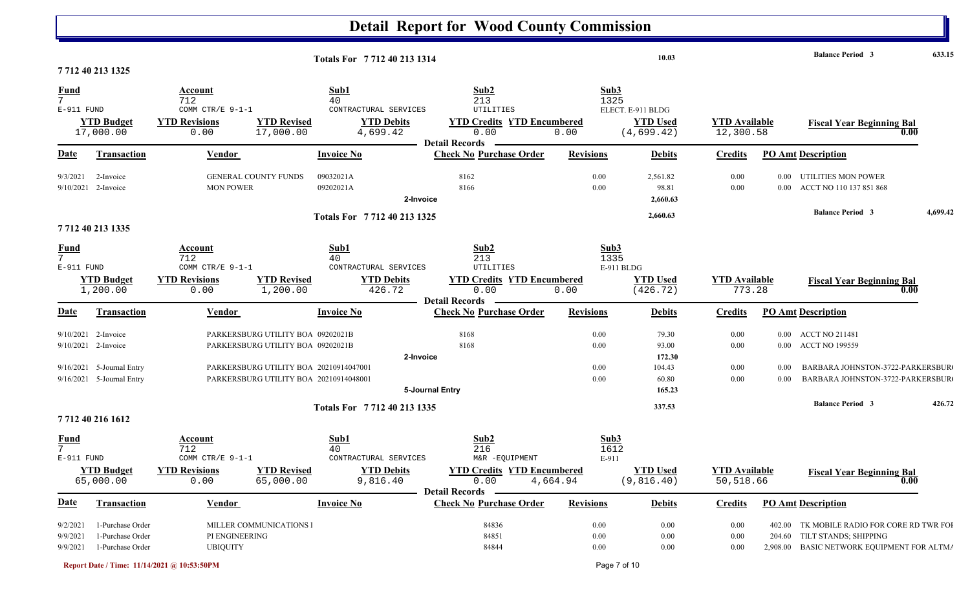|                                  |                                                          |                                                                                              |                                                              | <b>Detail Report for Wood County Commission</b>                                             |                           |                                           |                                   |                      |                                                                                                                          |          |
|----------------------------------|----------------------------------------------------------|----------------------------------------------------------------------------------------------|--------------------------------------------------------------|---------------------------------------------------------------------------------------------|---------------------------|-------------------------------------------|-----------------------------------|----------------------|--------------------------------------------------------------------------------------------------------------------------|----------|
|                                  |                                                          |                                                                                              | Totals For 7712 40 213 1314                                  |                                                                                             |                           | 10.03                                     |                                   |                      | <b>Balance Period 3</b>                                                                                                  | 633.15   |
|                                  | 7712 40 213 1325                                         |                                                                                              |                                                              |                                                                                             |                           |                                           |                                   |                      |                                                                                                                          |          |
| $\frac{Fund}{7}$<br>$E-911$ FUND |                                                          | Account<br>712<br>COMM CTR/E 9-1-1                                                           | Sub1<br>40<br>CONTRACTURAL SERVICES                          | Sub2<br>213<br>UTILITIES                                                                    | Sub3<br>1325              | ELECT. E-911 BLDG                         |                                   |                      |                                                                                                                          |          |
|                                  | <b>YTD Budget</b><br>17,000.00                           | <b>YTD Revised</b><br><b>YTD Revisions</b><br>17,000.00<br>0.00                              | <b>YTD Debits</b><br>4,699.42                                | <b>YTD Credits YTD Encumbered</b><br>0.00                                                   | 0.00                      | <b>YTD Used</b><br>(4, 699.42)            | <b>YTD</b> Available<br>12,300.58 |                      | <b>Fiscal Year Beginning Bal</b><br>0.00                                                                                 |          |
| <b>Date</b>                      | <b>Transaction</b>                                       | <b>Vendor</b>                                                                                | <b>Invoice No</b>                                            | <b>Detail Records</b><br><b>Check No Purchase Order</b>                                     | <b>Revisions</b>          | <b>Debits</b>                             | <b>Credits</b>                    |                      | <b>PO Amt Description</b>                                                                                                |          |
| 9/3/2021                         | 2-Invoice<br>9/10/2021 2-Invoice                         | GENERAL COUNTY FUNDS<br><b>MON POWER</b>                                                     | 09032021A<br>09202021A<br>2-Invoice                          | 8162<br>8166                                                                                | 0.00<br>0.00              | 2,561.82<br>98.81<br>2,660.63             | 0.00<br>0.00                      | $0.00\,$<br>$0.00\,$ | UTILITIES MON POWER<br>ACCT NO 110 137 851 868                                                                           |          |
|                                  | 7712 40 213 1335                                         |                                                                                              | Totals For 7712 40 213 1325                                  |                                                                                             |                           | 2,660.63                                  |                                   |                      | <b>Balance Period 3</b>                                                                                                  | 4,699.42 |
| <b>Fund</b><br>7 <sup>7</sup>    |                                                          | Account<br>712                                                                               | Sub1<br>40                                                   | Sub2<br>213                                                                                 | Sub3<br>1335              |                                           |                                   |                      |                                                                                                                          |          |
| $E-911$ FUND                     | <b>YTD Budget</b><br>1,200.00                            | COMM CTR/E 9-1-1<br><b>YTD Revisions</b><br><b>YTD Revised</b><br>1,200.00<br>0.00           | CONTRACTURAL SERVICES<br><b>YTD Debits</b><br>426.72         | UTILITIES<br><b>YTD Credits YTD Encumbered</b><br>0.00                                      | 0.00                      | E-911 BLDG<br><b>YTD</b> Used<br>(426.72) | <b>YTD Available</b><br>773.28    |                      | <b>Fiscal Year Beginning Bal</b><br>0.00                                                                                 |          |
| <b>Date</b>                      | <b>Transaction</b>                                       | Vendor                                                                                       | <b>Invoice No</b>                                            | <b>Detail Records</b> -<br><b>Check No Purchase Order</b>                                   | <b>Revisions</b>          | <b>Debits</b>                             | <b>Credits</b>                    |                      | <b>PO Amt Description</b>                                                                                                |          |
|                                  | $9/10/2021$ 2-Invoice<br>9/10/2021 2-Invoice             | PARKERSBURG UTILITY BOA 09202021B<br>PARKERSBURG UTILITY BOA 09202021B                       |                                                              | 8168<br>8168                                                                                | 0.00<br>0.00              | 79.30<br>93.00                            | 0.00<br>0.00                      |                      | 0.00 ACCT NO 211481<br>0.00 ACCT NO 199559                                                                               |          |
|                                  | 9/16/2021 5-Journal Entry<br>9/16/2021 5-Journal Entry   | PARKERSBURG UTILITY BOA 20210914047001<br>PARKERSBURG UTILITY BOA 20210914048001             | 2-Invoice                                                    |                                                                                             | 0.00<br>0.00              | 172.30<br>104.43<br>60.80                 | 0.00<br>0.00                      | 0.00<br>0.00         | BARBARA JOHNSTON-3722-PARKERSBUR<br>BARBARA JOHNSTON-3722-PARKERSBUR                                                     |          |
|                                  | 7712 40 216 1612                                         |                                                                                              | Totals For 7712 40 213 1335                                  | 5-Journal Entry                                                                             |                           | 165.23<br>337.53                          |                                   |                      | <b>Balance Period 3</b>                                                                                                  | 426.72   |
| <b>Fund</b>                      |                                                          | Account                                                                                      | Sub1                                                         | Sub2                                                                                        | Sub3                      |                                           |                                   |                      |                                                                                                                          |          |
| E-911 FUND                       | <b>YTD Budget</b><br>65,000.00                           | 712<br>COMM CTR/E $9-1-1$<br><b>YTD Revised</b><br><b>YTD Revisions</b><br>0.00<br>65,000.00 | 40<br>CONTRACTURAL SERVICES<br><b>YTD Debits</b><br>9,816.40 | 216<br>M&R -EQUIPMENT<br><b>YTD Credits YTD Encumbered</b><br>0.00<br><b>Detail Records</b> | 1612<br>E-911<br>4,664.94 | <b>YTD Used</b><br>(9, 816.40)            | <b>YTD Available</b><br>50,518.66 |                      | <b>Fiscal Year Beginning Bal</b><br>0.00                                                                                 |          |
| <b>Date</b>                      | <b>Transaction</b>                                       | <b>Vendor</b>                                                                                | <b>Invoice No</b>                                            | <b>Check No Purchase Order</b>                                                              | <b>Revisions</b>          | <b>Debits</b>                             | <b>Credits</b>                    |                      | <b>PO Amt Description</b>                                                                                                |          |
| 9/2/2021<br>9/9/2021<br>9/9/2021 | 1-Purchase Order<br>1-Purchase Order<br>1-Purchase Order | MILLER COMMUNICATIONS I<br>PI ENGINEERING<br><b>UBIQUITY</b>                                 |                                                              | 84836<br>84851<br>84844                                                                     | 0.00<br>0.00<br>0.00      | 0.00<br>0.00<br>0.00                      | 0.00<br>0.00<br>0.00              |                      | 402.00 TK MOBILE RADIO FOR CORE RD TWR FOI<br>204.60 TILT STANDS; SHIPPING<br>2,908.00 BASIC NETWORK EQUIPMENT FOR ALTM/ |          |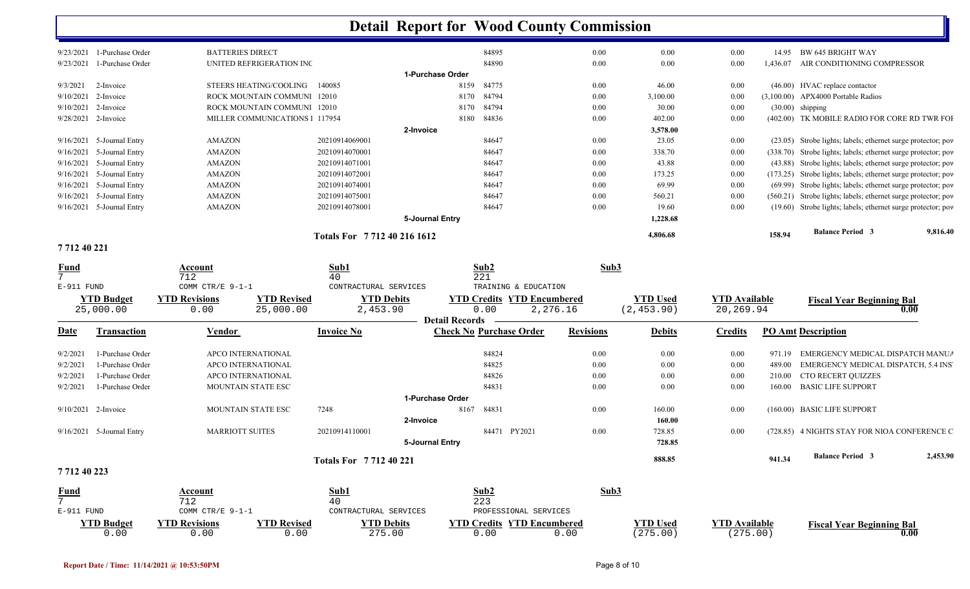| 9/23/2021 | 1-Purchase Order | <b>BATTERIES DIRECT</b>        |                          |                  | 84895 | 0.00 | 0.00     | 0.00 | 14.95    | BW 645 BRIGHT WAY                                               |
|-----------|------------------|--------------------------------|--------------------------|------------------|-------|------|----------|------|----------|-----------------------------------------------------------------|
| 9/23/2021 | 1-Purchase Order | UNITED REFRIGERATION INC       |                          |                  | 84890 | 0.00 | 0.00     | 0.00 | 1,436.07 | AIR CONDITIONING COMPRESSOR                                     |
|           |                  |                                |                          | 1-Purchase Order |       |      |          |      |          |                                                                 |
| 9/3/2021  | 2-Invoice        | STEERS HEATING/COOLING         | 140085                   | 8159             | 84775 | 0.00 | 46.00    | 0.00 | (46.00)  | HVAC replace contactor                                          |
| 9/10/2021 | 2-Invoice        | ROCK MOUNTAIN COMMUNI 12010    |                          | 8170             | 84794 | 0.00 | 3,100.00 | 0.00 |          | $(3,100.00)$ APX4000 Portable Radios                            |
| 9/10/2021 | 2-Invoice        | ROCK MOUNTAIN COMMUNI 12010    |                          | 8170             | 84794 | 0.00 | 30.00    | 0.00 |          | $(30.00)$ shipping                                              |
| 9/28/2021 | 2-Invoice        | MILLER COMMUNICATIONS 1 117954 |                          | 8180             | 84836 | 0.00 | 402.00   | 0.00 |          | (402.00) TK MOBILE RADIO FOR CORE RD TWR FOI                    |
|           |                  |                                |                          | 2-Invoice        |       |      | 3,578.00 |      |          |                                                                 |
| 9/16/2021 | 5-Journal Entry  | <b>AMAZON</b>                  | 20210914069001           |                  | 84647 | 0.00 | 23.05    | 0.00 |          | (23.05) Strobe lights; labels; ethernet surge protector; pov    |
| 9/16/2021 | 5-Journal Entry  | AMAZON                         | 20210914070001           |                  | 84647 | 0.00 | 338.70   | 0.00 |          | (338.70) Strobe lights; labels; ethernet surge protector; pov   |
| 9/16/2021 | 5-Journal Entry  | <b>AMAZON</b>                  | 20210914071001           |                  | 84647 | 0.00 | 43.88    | 0.00 |          | (43.88) Strobe lights; labels; ethernet surge protector; pov    |
| 9/16/2021 | 5-Journal Entry  | AMAZON                         | 20210914072001           |                  | 84647 | 0.00 | 173.25   | 0.00 | (173.25) | Strobe lights; labels; ethernet surge protector; pov            |
| 9/16/2021 | 5-Journal Entry  | AMAZON                         | 20210914074001           |                  | 84647 | 0.00 | 69.99    | 0.00 |          | (69.99) Strobe lights; labels; ethernet surge protector; pov    |
| 9/16/2021 | 5-Journal Entry  | <b>AMAZON</b>                  | 20210914075001           |                  | 84647 | 0.00 | 560.21   | 0.00 |          | $(560.21)$ Strobe lights; labels; ethernet surge protector; pov |
| 9/16/2021 | 5-Journal Entry  | <b>AMAZON</b>                  | 20210914078001           |                  | 84647 | 0.00 | 19.60    | 0.00 |          | (19.60) Strobe lights; labels; ethernet surge protector; pov    |
|           |                  |                                |                          | 5-Journal Entry  |       |      | 1,228.68 |      |          |                                                                 |
|           |                  |                                | Totals For 7712402161612 |                  |       |      | 4,806.68 |      | 158.94   | 9,816.40<br><b>Balance Period 3</b>                             |

### **7 712 40 221**

| <b>Fund</b><br>7<br>$E-911$ FUND |                             | Account<br>712<br>COMM CTR/E 9-1-1 |                    | Sub1<br>40<br>CONTRACTURAL SERVICES |                       | Sub2<br>221<br>TRAINING & EDUCATION | Sub3             |                 |                      |        |                                              |          |
|----------------------------------|-----------------------------|------------------------------------|--------------------|-------------------------------------|-----------------------|-------------------------------------|------------------|-----------------|----------------------|--------|----------------------------------------------|----------|
|                                  | <b>YTD Budget</b>           | <b>YTD Revisions</b>               | <b>YTD Revised</b> | <b>YTD Debits</b>                   |                       | <b>YTD Credits YTD Encumbered</b>   |                  | <b>YTD Used</b> | <b>YTD Available</b> |        | <b>Fiscal Year Beginning Bal</b>             |          |
|                                  | 25,000.00                   | 0.00                               | 25,000.00          | 2,453.90                            |                       | 0.00                                | 2,276.16         | (2, 453.90)     | 20,269.94            |        |                                              | 0.00     |
|                                  |                             |                                    |                    |                                     | <b>Detail Records</b> |                                     |                  |                 |                      |        |                                              |          |
| <u>Date</u>                      | <b>Transaction</b>          | <b>Vendor</b>                      |                    | <b>Invoice No</b>                   |                       | <b>Check No Purchase Order</b>      | <b>Revisions</b> | <b>Debits</b>   | <b>Credits</b>       |        | <b>PO Amt Description</b>                    |          |
| 9/2/2021                         | 1-Purchase Order            | APCO INTERNATIONAL                 |                    |                                     |                       | 84824                               | 0.00             | 0.00            | 0.00                 | 971.19 | EMERGENCY MEDICAL DISPATCH MANUA             |          |
| 9/2/2021                         | 1-Purchase Order            | APCO INTERNATIONAL                 |                    |                                     |                       | 84825                               | 0.00             | 0.00            | 0.00                 | 489.00 | <b>EMERGENCY MEDICAL DISPATCH, 5.4 INS</b>   |          |
| 9/2/2021                         | 1-Purchase Order            | APCO INTERNATIONAL                 |                    |                                     |                       | 84826                               | 0.00             | 0.00            | 0.00                 | 210.00 | CTO RECERT QUIZZES                           |          |
| 9/2/2021                         | 1-Purchase Order            | MOUNTAIN STATE ESC                 |                    |                                     |                       | 84831                               | 0.00             | 0.00            | 0.00                 | 160.00 | <b>BASIC LIFE SUPPORT</b>                    |          |
|                                  |                             |                                    |                    |                                     | 1-Purchase Order      |                                     |                  |                 |                      |        |                                              |          |
| 9/10/2021                        | 2-Invoice                   | MOUNTAIN STATE ESC                 |                    | 7248                                | 8167                  | 84831                               | 0.00             | 160.00          | 0.00                 |        | (160.00) BASIC LIFE SUPPORT                  |          |
|                                  |                             |                                    |                    |                                     | 2-Invoice             |                                     |                  | 160.00          |                      |        |                                              |          |
|                                  | $9/16/2021$ 5-Journal Entry | <b>MARRIOTT SUITES</b>             |                    | 20210914110001                      |                       | PY2021<br>84471                     | 0.00             | 728.85          | 0.00                 |        | (728.85) 4 NIGHTS STAY FOR NIOA CONFERENCE C |          |
|                                  |                             |                                    |                    |                                     | 5-Journal Entry       |                                     |                  | 728.85          |                      |        |                                              |          |
|                                  |                             |                                    |                    | <b>Totals For 771240221</b>         |                       |                                     |                  | 888.85          |                      | 941.34 | <b>Balance Period 3</b>                      | 2,453.90 |
| 771240223                        |                             |                                    |                    |                                     |                       |                                     |                  |                 |                      |        |                                              |          |
| <b>Fund</b>                      |                             | Account                            |                    | Sub1                                |                       | Sub2                                | Sub3             |                 |                      |        |                                              |          |
| $7\overline{ }$                  |                             | 712                                |                    | 40                                  |                       | 223                                 |                  |                 |                      |        |                                              |          |
| E-911 FUND                       |                             | COMM CTR/E $9-1-1$                 |                    | CONTRACTURAL SERVICES               |                       | PROFESSIONAL SERVICES               |                  |                 |                      |        |                                              |          |

| L OTAT   |        |   | $\sim$ V $\pm$ L $\sim$ Press. |                                   |                  |                   |        |                        |
|----------|--------|---|--------------------------------|-----------------------------------|------------------|-------------------|--------|------------------------|
| ' Budøe. | ısıons |   | $\mathbf{r}$<br>'''ebits       | $^{\prime\prime}$ TD C.<br>eurre. | TD 1<br>cumberec | THE TELL          | vauabl | *eginning Bai<br>' ISC |
|          | .      | . | ( ) ( )                        | $.00^{\circ}$                     |                  | $\sim$ $-$<br>.00 |        | v.vu                   |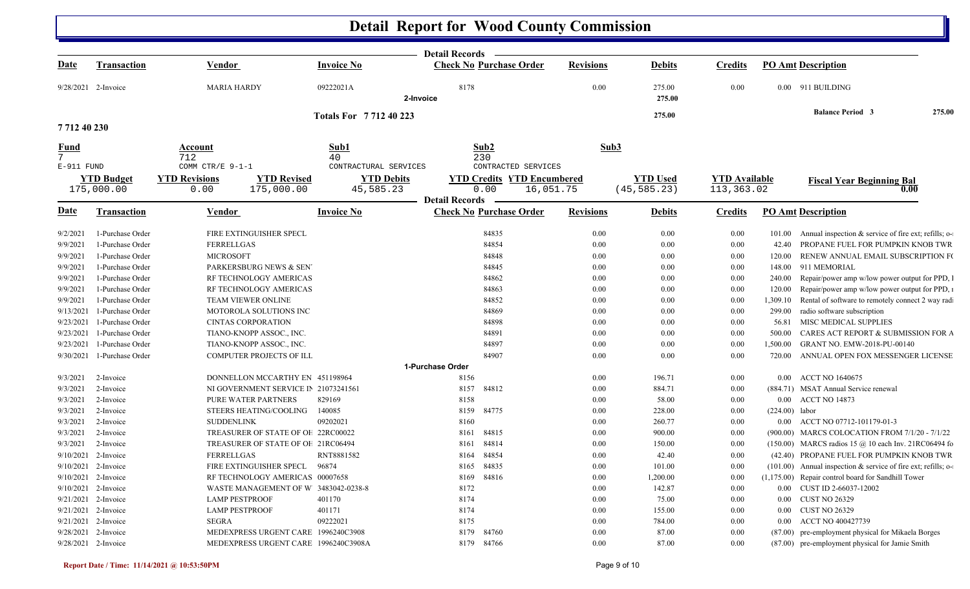| <b>Invoice No</b><br><b>Check No Purchase Order</b><br><b>PO Amt Description</b><br><b>Transaction</b><br><b>Vendor</b><br><b>Revisions</b><br><b>Debits</b><br><b>Credits</b><br><b>MARIA HARDY</b><br>09222021A<br>8178<br>0.00<br>275.00<br>0.00<br>0.00 911 BUILDING<br>9/28/2021 2-Invoice<br>275.00<br>2-Invoice<br><b>Balance Period 3</b><br>275.00<br>275.00<br><b>Totals For 771240223</b><br>771240230<br>Sub1<br>Sub2<br>Sub3<br>Fund<br>Account<br>$\overline{7}$<br>712<br>40<br>230<br>E-911 FUND<br>COMM CTR/E $9-1-1$<br>CONTRACTURAL SERVICES<br>CONTRACTED SERVICES<br><b>YTD Revisions</b><br><b>YTD Revised</b><br><b>YTD Credits YTD Encumbered</b><br><b>YTD Used</b><br><b>YTD Available</b><br><b>YTD Budget</b><br><b>YTD Debits</b><br><b>Fiscal Year Beginning Bal</b><br>(45, 585.23)<br>113,363.02<br>0.00<br>175,000.00<br>0.00<br>175,000.00<br>45,585.23<br>0.00<br>16,051.75<br><b>Detail Records</b><br><b>Check No Purchase Order</b><br><b>Revisions</b><br><b>PO Amt Description</b><br><b>Transaction</b><br><b>Invoice No</b><br><b>Debits</b><br><b>Credits</b><br>Vendor<br>FIRE EXTINGUISHER SPECL<br>84835<br>1-Purchase Order<br>0.00<br>$0.00\,$<br>0.00<br>Annual inspection & service of fire ext; refills; o-<br>101.00<br>1-Purchase Order<br><b>FERRELLGAS</b><br>84854<br>0.00<br>0.00<br>0.00<br>PROPANE FUEL FOR PUMPKIN KNOB TWR<br>42.40<br>1-Purchase Order<br>84848<br>0.00<br>RENEW ANNUAL EMAIL SUBSCRIPTION FO<br><b>MICROSOFT</b><br>$0.00\,$<br>0.00<br>120.00<br>1-Purchase Order<br>84845<br>911 MEMORIAL<br>PARKERSBURG NEWS & SEN<br>0.00<br>$0.00\,$<br>0.00<br>148.00<br>1-Purchase Order<br>RF TECHNOLOGY AMERICAS<br>84862<br>0.00<br>0.00<br>0.00<br>Repair/power amp w/low power output for PPD, I<br>240.00<br>1-Purchase Order<br>RF TECHNOLOGY AMERICAS<br>84863<br>0.00<br>0.00<br>Repair/power amp w/low power output for PPD, 1<br>0.00<br>120.00<br>1-Purchase Order<br>84852<br>0.00<br>Rental of software to remotely connect 2 way rad:<br><b>TEAM VIEWER ONLINE</b><br>0.00<br>$0.00\,$<br>1,309.10<br>1-Purchase Order<br>84869<br>0.00<br>0.00<br>0.00<br>radio software subscription<br>MOTOROLA SOLUTIONS INC<br>299.00<br>1-Purchase Order<br><b>CINTAS CORPORATION</b><br>84898<br>0.00<br>0.00<br>MISC MEDICAL SUPPLIES<br>0.00<br>56.81<br>1-Purchase Order<br>84891<br>0.00<br>CARES ACT REPORT & SUBMISSION FOR A<br>TIANO-KNOPP ASSOC., INC.<br>0.00<br>$0.00\,$<br>500.00<br>1-Purchase Order<br>TIANO-KNOPP ASSOC., INC.<br>84897<br>0.00<br>0.00<br>0.00<br>GRANT NO. EMW-2018-PU-00140<br>1,500.00<br>1-Purchase Order<br><b>COMPUTER PROJECTS OF ILL</b><br>84907<br>0.00<br>0.00<br>0.00<br>ANNUAL OPEN FOX MESSENGER LICENSE<br>720.00<br>1-Purchase Order<br>8156<br>0.00<br>0.00 ACCT NO 1640675<br>9/3/2021<br>2-Invoice<br>DONNELLON MCCARTHY EN 451198964<br>196.71<br>0.00<br>2-Invoice<br>8157<br>84812<br>884.71<br>(884.71) MSAT Annual Service renewal<br>9/3/2021<br>NI GOVERNMENT SERVICE IN 21073241561<br>0.00<br>0.00<br>0.00 ACCT NO 14873<br>2-Invoice<br>PURE WATER PARTNERS<br>829169<br>8158<br>58.00<br>9/3/2021<br>0.00<br>0.00<br>9/3/2021<br>2-Invoice<br>STEERS HEATING/COOLING<br>140085<br>84775<br>0.00<br>228.00<br>0.00<br>$(224.00)$ labor<br>8159<br>9/3/2021<br>2-Invoice<br><b>SUDDENLINK</b><br>09202021<br>8160<br>0.00<br>0.00<br>0.00 ACCT NO 07712-101179-01-3<br>260.77<br>2-Invoice<br>TREASURER OF STATE OF OF 22RC00022<br>84815<br>0.00<br>(900.00) MARCS COLOCATION FROM 7/1/20 - 7/1/22<br>9/3/2021<br>8161<br>900.00<br>0.00<br>9/3/2021<br>2-Invoice<br>TREASURER OF STATE OF OF 21RC06494<br>84814<br>0.00<br>0.00<br>(150.00) MARCS radios 15 @ 10 each Inv. 21RC06494 fo<br>8161<br>150.00<br>2-Invoice<br>FERRELLGAS<br>RNT8881582<br>84854<br>42.40<br>0.00<br>(42.40) PROPANE FUEL FOR PUMPKIN KNOB TWR<br>9/10/2021<br>8164<br>0.00<br>9/10/2021 2-Invoice<br>FIRE EXTINGUISHER SPECL<br>96874<br>84835<br>0.00<br>0.00<br>(101.00) Annual inspection & service of fire ext; refills; o-<br>8165<br>101.00<br>9/10/2021 2-Invoice<br>8169 84816<br>0.00<br>1,200.00<br>0.00<br>RF TECHNOLOGY AMERICAS 00007658<br>(1,175.00) Repair control board for Sandhill Tower<br>8172<br>0.00<br>142.87<br>$9/10/2021$ 2-Invoice<br>WASTE MANAGEMENT OF W 3483042-0238-8<br>0.00<br>0.00 CUST ID 2-66037-12002<br>8174<br>75.00<br>0.00 CUST NO 26329<br>$9/21/2021$ 2-Invoice<br><b>LAMP PESTPROOF</b><br>401170<br>0.00<br>0.00<br>9/21/2021 2-Invoice<br>8174<br>155.00<br>0.00 CUST NO 26329<br><b>LAMP PESTPROOF</b><br>401171<br>0.00<br>0.00<br>9/21/2021 2-Invoice<br>09222021<br>8175<br>0.00 ACCT NO 400427739<br>SEGRA<br>0.00<br>784.00<br>0.00<br>9/28/2021 2-Invoice<br>MEDEXPRESS URGENT CARE 1996240C3908<br>8179 84760<br>0.00<br>87.00<br>0.00<br>(87.00) pre-employment physical for Mikaela Borges<br>9/28/2021 2-Invoice<br>MEDEXPRESS URGENT CARE 1996240C3908A<br>8179 84766<br>0.00<br>(87.00) pre-employment physical for Jamie Smith<br>$0.00\,$<br>87.00 |             |  | <b>Detail Records</b> |  |  |  |
|-----------------------------------------------------------------------------------------------------------------------------------------------------------------------------------------------------------------------------------------------------------------------------------------------------------------------------------------------------------------------------------------------------------------------------------------------------------------------------------------------------------------------------------------------------------------------------------------------------------------------------------------------------------------------------------------------------------------------------------------------------------------------------------------------------------------------------------------------------------------------------------------------------------------------------------------------------------------------------------------------------------------------------------------------------------------------------------------------------------------------------------------------------------------------------------------------------------------------------------------------------------------------------------------------------------------------------------------------------------------------------------------------------------------------------------------------------------------------------------------------------------------------------------------------------------------------------------------------------------------------------------------------------------------------------------------------------------------------------------------------------------------------------------------------------------------------------------------------------------------------------------------------------------------------------------------------------------------------------------------------------------------------------------------------------------------------------------------------------------------------------------------------------------------------------------------------------------------------------------------------------------------------------------------------------------------------------------------------------------------------------------------------------------------------------------------------------------------------------------------------------------------------------------------------------------------------------------------------------------------------------------------------------------------------------------------------------------------------------------------------------------------------------------------------------------------------------------------------------------------------------------------------------------------------------------------------------------------------------------------------------------------------------------------------------------------------------------------------------------------------------------------------------------------------------------------------------------------------------------------------------------------------------------------------------------------------------------------------------------------------------------------------------------------------------------------------------------------------------------------------------------------------------------------------------------------------------------------------------------------------------------------------------------------------------------------------------------------------------------------------------------------------------------------------------------------------------------------------------------------------------------------------------------------------------------------------------------------------------------------------------------------------------------------------------------------------------------------------------------------------------------------------------------------------------------------------------------------------------------------------------------------------------------------------------------------------------------------------------------------------------------------------------------------------------------------------------------------------------------------------------------------------------------------------------------------------------------------------------------------------------------------------------------------------------------------------------------------------------------------------------------------------------------------------------------------------------------------------------------------------------------------------------------------------------------------------------------------------------------------------------------------------------------------|-------------|--|-----------------------|--|--|--|
|                                                                                                                                                                                                                                                                                                                                                                                                                                                                                                                                                                                                                                                                                                                                                                                                                                                                                                                                                                                                                                                                                                                                                                                                                                                                                                                                                                                                                                                                                                                                                                                                                                                                                                                                                                                                                                                                                                                                                                                                                                                                                                                                                                                                                                                                                                                                                                                                                                                                                                                                                                                                                                                                                                                                                                                                                                                                                                                                                                                                                                                                                                                                                                                                                                                                                                                                                                                                                                                                                                                                                                                                                                                                                                                                                                                                                                                                                                                                                                                                                                                                                                                                                                                                                                                                                                                                                                                                                                                                                                                                                                                                                                                                                                                                                                                                                                                                                                                                                                                                                                         | <u>Date</u> |  |                       |  |  |  |
|                                                                                                                                                                                                                                                                                                                                                                                                                                                                                                                                                                                                                                                                                                                                                                                                                                                                                                                                                                                                                                                                                                                                                                                                                                                                                                                                                                                                                                                                                                                                                                                                                                                                                                                                                                                                                                                                                                                                                                                                                                                                                                                                                                                                                                                                                                                                                                                                                                                                                                                                                                                                                                                                                                                                                                                                                                                                                                                                                                                                                                                                                                                                                                                                                                                                                                                                                                                                                                                                                                                                                                                                                                                                                                                                                                                                                                                                                                                                                                                                                                                                                                                                                                                                                                                                                                                                                                                                                                                                                                                                                                                                                                                                                                                                                                                                                                                                                                                                                                                                                                         |             |  |                       |  |  |  |
|                                                                                                                                                                                                                                                                                                                                                                                                                                                                                                                                                                                                                                                                                                                                                                                                                                                                                                                                                                                                                                                                                                                                                                                                                                                                                                                                                                                                                                                                                                                                                                                                                                                                                                                                                                                                                                                                                                                                                                                                                                                                                                                                                                                                                                                                                                                                                                                                                                                                                                                                                                                                                                                                                                                                                                                                                                                                                                                                                                                                                                                                                                                                                                                                                                                                                                                                                                                                                                                                                                                                                                                                                                                                                                                                                                                                                                                                                                                                                                                                                                                                                                                                                                                                                                                                                                                                                                                                                                                                                                                                                                                                                                                                                                                                                                                                                                                                                                                                                                                                                                         |             |  |                       |  |  |  |
|                                                                                                                                                                                                                                                                                                                                                                                                                                                                                                                                                                                                                                                                                                                                                                                                                                                                                                                                                                                                                                                                                                                                                                                                                                                                                                                                                                                                                                                                                                                                                                                                                                                                                                                                                                                                                                                                                                                                                                                                                                                                                                                                                                                                                                                                                                                                                                                                                                                                                                                                                                                                                                                                                                                                                                                                                                                                                                                                                                                                                                                                                                                                                                                                                                                                                                                                                                                                                                                                                                                                                                                                                                                                                                                                                                                                                                                                                                                                                                                                                                                                                                                                                                                                                                                                                                                                                                                                                                                                                                                                                                                                                                                                                                                                                                                                                                                                                                                                                                                                                                         |             |  |                       |  |  |  |
|                                                                                                                                                                                                                                                                                                                                                                                                                                                                                                                                                                                                                                                                                                                                                                                                                                                                                                                                                                                                                                                                                                                                                                                                                                                                                                                                                                                                                                                                                                                                                                                                                                                                                                                                                                                                                                                                                                                                                                                                                                                                                                                                                                                                                                                                                                                                                                                                                                                                                                                                                                                                                                                                                                                                                                                                                                                                                                                                                                                                                                                                                                                                                                                                                                                                                                                                                                                                                                                                                                                                                                                                                                                                                                                                                                                                                                                                                                                                                                                                                                                                                                                                                                                                                                                                                                                                                                                                                                                                                                                                                                                                                                                                                                                                                                                                                                                                                                                                                                                                                                         |             |  |                       |  |  |  |
|                                                                                                                                                                                                                                                                                                                                                                                                                                                                                                                                                                                                                                                                                                                                                                                                                                                                                                                                                                                                                                                                                                                                                                                                                                                                                                                                                                                                                                                                                                                                                                                                                                                                                                                                                                                                                                                                                                                                                                                                                                                                                                                                                                                                                                                                                                                                                                                                                                                                                                                                                                                                                                                                                                                                                                                                                                                                                                                                                                                                                                                                                                                                                                                                                                                                                                                                                                                                                                                                                                                                                                                                                                                                                                                                                                                                                                                                                                                                                                                                                                                                                                                                                                                                                                                                                                                                                                                                                                                                                                                                                                                                                                                                                                                                                                                                                                                                                                                                                                                                                                         |             |  |                       |  |  |  |
|                                                                                                                                                                                                                                                                                                                                                                                                                                                                                                                                                                                                                                                                                                                                                                                                                                                                                                                                                                                                                                                                                                                                                                                                                                                                                                                                                                                                                                                                                                                                                                                                                                                                                                                                                                                                                                                                                                                                                                                                                                                                                                                                                                                                                                                                                                                                                                                                                                                                                                                                                                                                                                                                                                                                                                                                                                                                                                                                                                                                                                                                                                                                                                                                                                                                                                                                                                                                                                                                                                                                                                                                                                                                                                                                                                                                                                                                                                                                                                                                                                                                                                                                                                                                                                                                                                                                                                                                                                                                                                                                                                                                                                                                                                                                                                                                                                                                                                                                                                                                                                         |             |  |                       |  |  |  |
|                                                                                                                                                                                                                                                                                                                                                                                                                                                                                                                                                                                                                                                                                                                                                                                                                                                                                                                                                                                                                                                                                                                                                                                                                                                                                                                                                                                                                                                                                                                                                                                                                                                                                                                                                                                                                                                                                                                                                                                                                                                                                                                                                                                                                                                                                                                                                                                                                                                                                                                                                                                                                                                                                                                                                                                                                                                                                                                                                                                                                                                                                                                                                                                                                                                                                                                                                                                                                                                                                                                                                                                                                                                                                                                                                                                                                                                                                                                                                                                                                                                                                                                                                                                                                                                                                                                                                                                                                                                                                                                                                                                                                                                                                                                                                                                                                                                                                                                                                                                                                                         |             |  |                       |  |  |  |
|                                                                                                                                                                                                                                                                                                                                                                                                                                                                                                                                                                                                                                                                                                                                                                                                                                                                                                                                                                                                                                                                                                                                                                                                                                                                                                                                                                                                                                                                                                                                                                                                                                                                                                                                                                                                                                                                                                                                                                                                                                                                                                                                                                                                                                                                                                                                                                                                                                                                                                                                                                                                                                                                                                                                                                                                                                                                                                                                                                                                                                                                                                                                                                                                                                                                                                                                                                                                                                                                                                                                                                                                                                                                                                                                                                                                                                                                                                                                                                                                                                                                                                                                                                                                                                                                                                                                                                                                                                                                                                                                                                                                                                                                                                                                                                                                                                                                                                                                                                                                                                         |             |  |                       |  |  |  |
|                                                                                                                                                                                                                                                                                                                                                                                                                                                                                                                                                                                                                                                                                                                                                                                                                                                                                                                                                                                                                                                                                                                                                                                                                                                                                                                                                                                                                                                                                                                                                                                                                                                                                                                                                                                                                                                                                                                                                                                                                                                                                                                                                                                                                                                                                                                                                                                                                                                                                                                                                                                                                                                                                                                                                                                                                                                                                                                                                                                                                                                                                                                                                                                                                                                                                                                                                                                                                                                                                                                                                                                                                                                                                                                                                                                                                                                                                                                                                                                                                                                                                                                                                                                                                                                                                                                                                                                                                                                                                                                                                                                                                                                                                                                                                                                                                                                                                                                                                                                                                                         |             |  |                       |  |  |  |
|                                                                                                                                                                                                                                                                                                                                                                                                                                                                                                                                                                                                                                                                                                                                                                                                                                                                                                                                                                                                                                                                                                                                                                                                                                                                                                                                                                                                                                                                                                                                                                                                                                                                                                                                                                                                                                                                                                                                                                                                                                                                                                                                                                                                                                                                                                                                                                                                                                                                                                                                                                                                                                                                                                                                                                                                                                                                                                                                                                                                                                                                                                                                                                                                                                                                                                                                                                                                                                                                                                                                                                                                                                                                                                                                                                                                                                                                                                                                                                                                                                                                                                                                                                                                                                                                                                                                                                                                                                                                                                                                                                                                                                                                                                                                                                                                                                                                                                                                                                                                                                         | Date        |  |                       |  |  |  |
|                                                                                                                                                                                                                                                                                                                                                                                                                                                                                                                                                                                                                                                                                                                                                                                                                                                                                                                                                                                                                                                                                                                                                                                                                                                                                                                                                                                                                                                                                                                                                                                                                                                                                                                                                                                                                                                                                                                                                                                                                                                                                                                                                                                                                                                                                                                                                                                                                                                                                                                                                                                                                                                                                                                                                                                                                                                                                                                                                                                                                                                                                                                                                                                                                                                                                                                                                                                                                                                                                                                                                                                                                                                                                                                                                                                                                                                                                                                                                                                                                                                                                                                                                                                                                                                                                                                                                                                                                                                                                                                                                                                                                                                                                                                                                                                                                                                                                                                                                                                                                                         | 9/2/2021    |  |                       |  |  |  |
|                                                                                                                                                                                                                                                                                                                                                                                                                                                                                                                                                                                                                                                                                                                                                                                                                                                                                                                                                                                                                                                                                                                                                                                                                                                                                                                                                                                                                                                                                                                                                                                                                                                                                                                                                                                                                                                                                                                                                                                                                                                                                                                                                                                                                                                                                                                                                                                                                                                                                                                                                                                                                                                                                                                                                                                                                                                                                                                                                                                                                                                                                                                                                                                                                                                                                                                                                                                                                                                                                                                                                                                                                                                                                                                                                                                                                                                                                                                                                                                                                                                                                                                                                                                                                                                                                                                                                                                                                                                                                                                                                                                                                                                                                                                                                                                                                                                                                                                                                                                                                                         | 9/9/2021    |  |                       |  |  |  |
|                                                                                                                                                                                                                                                                                                                                                                                                                                                                                                                                                                                                                                                                                                                                                                                                                                                                                                                                                                                                                                                                                                                                                                                                                                                                                                                                                                                                                                                                                                                                                                                                                                                                                                                                                                                                                                                                                                                                                                                                                                                                                                                                                                                                                                                                                                                                                                                                                                                                                                                                                                                                                                                                                                                                                                                                                                                                                                                                                                                                                                                                                                                                                                                                                                                                                                                                                                                                                                                                                                                                                                                                                                                                                                                                                                                                                                                                                                                                                                                                                                                                                                                                                                                                                                                                                                                                                                                                                                                                                                                                                                                                                                                                                                                                                                                                                                                                                                                                                                                                                                         | 9/9/2021    |  |                       |  |  |  |
|                                                                                                                                                                                                                                                                                                                                                                                                                                                                                                                                                                                                                                                                                                                                                                                                                                                                                                                                                                                                                                                                                                                                                                                                                                                                                                                                                                                                                                                                                                                                                                                                                                                                                                                                                                                                                                                                                                                                                                                                                                                                                                                                                                                                                                                                                                                                                                                                                                                                                                                                                                                                                                                                                                                                                                                                                                                                                                                                                                                                                                                                                                                                                                                                                                                                                                                                                                                                                                                                                                                                                                                                                                                                                                                                                                                                                                                                                                                                                                                                                                                                                                                                                                                                                                                                                                                                                                                                                                                                                                                                                                                                                                                                                                                                                                                                                                                                                                                                                                                                                                         | 9/9/2021    |  |                       |  |  |  |
|                                                                                                                                                                                                                                                                                                                                                                                                                                                                                                                                                                                                                                                                                                                                                                                                                                                                                                                                                                                                                                                                                                                                                                                                                                                                                                                                                                                                                                                                                                                                                                                                                                                                                                                                                                                                                                                                                                                                                                                                                                                                                                                                                                                                                                                                                                                                                                                                                                                                                                                                                                                                                                                                                                                                                                                                                                                                                                                                                                                                                                                                                                                                                                                                                                                                                                                                                                                                                                                                                                                                                                                                                                                                                                                                                                                                                                                                                                                                                                                                                                                                                                                                                                                                                                                                                                                                                                                                                                                                                                                                                                                                                                                                                                                                                                                                                                                                                                                                                                                                                                         | 9/9/2021    |  |                       |  |  |  |
|                                                                                                                                                                                                                                                                                                                                                                                                                                                                                                                                                                                                                                                                                                                                                                                                                                                                                                                                                                                                                                                                                                                                                                                                                                                                                                                                                                                                                                                                                                                                                                                                                                                                                                                                                                                                                                                                                                                                                                                                                                                                                                                                                                                                                                                                                                                                                                                                                                                                                                                                                                                                                                                                                                                                                                                                                                                                                                                                                                                                                                                                                                                                                                                                                                                                                                                                                                                                                                                                                                                                                                                                                                                                                                                                                                                                                                                                                                                                                                                                                                                                                                                                                                                                                                                                                                                                                                                                                                                                                                                                                                                                                                                                                                                                                                                                                                                                                                                                                                                                                                         | 9/9/2021    |  |                       |  |  |  |
|                                                                                                                                                                                                                                                                                                                                                                                                                                                                                                                                                                                                                                                                                                                                                                                                                                                                                                                                                                                                                                                                                                                                                                                                                                                                                                                                                                                                                                                                                                                                                                                                                                                                                                                                                                                                                                                                                                                                                                                                                                                                                                                                                                                                                                                                                                                                                                                                                                                                                                                                                                                                                                                                                                                                                                                                                                                                                                                                                                                                                                                                                                                                                                                                                                                                                                                                                                                                                                                                                                                                                                                                                                                                                                                                                                                                                                                                                                                                                                                                                                                                                                                                                                                                                                                                                                                                                                                                                                                                                                                                                                                                                                                                                                                                                                                                                                                                                                                                                                                                                                         | 9/9/2021    |  |                       |  |  |  |
|                                                                                                                                                                                                                                                                                                                                                                                                                                                                                                                                                                                                                                                                                                                                                                                                                                                                                                                                                                                                                                                                                                                                                                                                                                                                                                                                                                                                                                                                                                                                                                                                                                                                                                                                                                                                                                                                                                                                                                                                                                                                                                                                                                                                                                                                                                                                                                                                                                                                                                                                                                                                                                                                                                                                                                                                                                                                                                                                                                                                                                                                                                                                                                                                                                                                                                                                                                                                                                                                                                                                                                                                                                                                                                                                                                                                                                                                                                                                                                                                                                                                                                                                                                                                                                                                                                                                                                                                                                                                                                                                                                                                                                                                                                                                                                                                                                                                                                                                                                                                                                         | 9/13/2021   |  |                       |  |  |  |
|                                                                                                                                                                                                                                                                                                                                                                                                                                                                                                                                                                                                                                                                                                                                                                                                                                                                                                                                                                                                                                                                                                                                                                                                                                                                                                                                                                                                                                                                                                                                                                                                                                                                                                                                                                                                                                                                                                                                                                                                                                                                                                                                                                                                                                                                                                                                                                                                                                                                                                                                                                                                                                                                                                                                                                                                                                                                                                                                                                                                                                                                                                                                                                                                                                                                                                                                                                                                                                                                                                                                                                                                                                                                                                                                                                                                                                                                                                                                                                                                                                                                                                                                                                                                                                                                                                                                                                                                                                                                                                                                                                                                                                                                                                                                                                                                                                                                                                                                                                                                                                         | 9/23/2021   |  |                       |  |  |  |
|                                                                                                                                                                                                                                                                                                                                                                                                                                                                                                                                                                                                                                                                                                                                                                                                                                                                                                                                                                                                                                                                                                                                                                                                                                                                                                                                                                                                                                                                                                                                                                                                                                                                                                                                                                                                                                                                                                                                                                                                                                                                                                                                                                                                                                                                                                                                                                                                                                                                                                                                                                                                                                                                                                                                                                                                                                                                                                                                                                                                                                                                                                                                                                                                                                                                                                                                                                                                                                                                                                                                                                                                                                                                                                                                                                                                                                                                                                                                                                                                                                                                                                                                                                                                                                                                                                                                                                                                                                                                                                                                                                                                                                                                                                                                                                                                                                                                                                                                                                                                                                         | 9/23/2021   |  |                       |  |  |  |
|                                                                                                                                                                                                                                                                                                                                                                                                                                                                                                                                                                                                                                                                                                                                                                                                                                                                                                                                                                                                                                                                                                                                                                                                                                                                                                                                                                                                                                                                                                                                                                                                                                                                                                                                                                                                                                                                                                                                                                                                                                                                                                                                                                                                                                                                                                                                                                                                                                                                                                                                                                                                                                                                                                                                                                                                                                                                                                                                                                                                                                                                                                                                                                                                                                                                                                                                                                                                                                                                                                                                                                                                                                                                                                                                                                                                                                                                                                                                                                                                                                                                                                                                                                                                                                                                                                                                                                                                                                                                                                                                                                                                                                                                                                                                                                                                                                                                                                                                                                                                                                         | 9/23/2021   |  |                       |  |  |  |
|                                                                                                                                                                                                                                                                                                                                                                                                                                                                                                                                                                                                                                                                                                                                                                                                                                                                                                                                                                                                                                                                                                                                                                                                                                                                                                                                                                                                                                                                                                                                                                                                                                                                                                                                                                                                                                                                                                                                                                                                                                                                                                                                                                                                                                                                                                                                                                                                                                                                                                                                                                                                                                                                                                                                                                                                                                                                                                                                                                                                                                                                                                                                                                                                                                                                                                                                                                                                                                                                                                                                                                                                                                                                                                                                                                                                                                                                                                                                                                                                                                                                                                                                                                                                                                                                                                                                                                                                                                                                                                                                                                                                                                                                                                                                                                                                                                                                                                                                                                                                                                         | 9/30/2021   |  |                       |  |  |  |
|                                                                                                                                                                                                                                                                                                                                                                                                                                                                                                                                                                                                                                                                                                                                                                                                                                                                                                                                                                                                                                                                                                                                                                                                                                                                                                                                                                                                                                                                                                                                                                                                                                                                                                                                                                                                                                                                                                                                                                                                                                                                                                                                                                                                                                                                                                                                                                                                                                                                                                                                                                                                                                                                                                                                                                                                                                                                                                                                                                                                                                                                                                                                                                                                                                                                                                                                                                                                                                                                                                                                                                                                                                                                                                                                                                                                                                                                                                                                                                                                                                                                                                                                                                                                                                                                                                                                                                                                                                                                                                                                                                                                                                                                                                                                                                                                                                                                                                                                                                                                                                         |             |  |                       |  |  |  |
|                                                                                                                                                                                                                                                                                                                                                                                                                                                                                                                                                                                                                                                                                                                                                                                                                                                                                                                                                                                                                                                                                                                                                                                                                                                                                                                                                                                                                                                                                                                                                                                                                                                                                                                                                                                                                                                                                                                                                                                                                                                                                                                                                                                                                                                                                                                                                                                                                                                                                                                                                                                                                                                                                                                                                                                                                                                                                                                                                                                                                                                                                                                                                                                                                                                                                                                                                                                                                                                                                                                                                                                                                                                                                                                                                                                                                                                                                                                                                                                                                                                                                                                                                                                                                                                                                                                                                                                                                                                                                                                                                                                                                                                                                                                                                                                                                                                                                                                                                                                                                                         |             |  |                       |  |  |  |
|                                                                                                                                                                                                                                                                                                                                                                                                                                                                                                                                                                                                                                                                                                                                                                                                                                                                                                                                                                                                                                                                                                                                                                                                                                                                                                                                                                                                                                                                                                                                                                                                                                                                                                                                                                                                                                                                                                                                                                                                                                                                                                                                                                                                                                                                                                                                                                                                                                                                                                                                                                                                                                                                                                                                                                                                                                                                                                                                                                                                                                                                                                                                                                                                                                                                                                                                                                                                                                                                                                                                                                                                                                                                                                                                                                                                                                                                                                                                                                                                                                                                                                                                                                                                                                                                                                                                                                                                                                                                                                                                                                                                                                                                                                                                                                                                                                                                                                                                                                                                                                         |             |  |                       |  |  |  |
|                                                                                                                                                                                                                                                                                                                                                                                                                                                                                                                                                                                                                                                                                                                                                                                                                                                                                                                                                                                                                                                                                                                                                                                                                                                                                                                                                                                                                                                                                                                                                                                                                                                                                                                                                                                                                                                                                                                                                                                                                                                                                                                                                                                                                                                                                                                                                                                                                                                                                                                                                                                                                                                                                                                                                                                                                                                                                                                                                                                                                                                                                                                                                                                                                                                                                                                                                                                                                                                                                                                                                                                                                                                                                                                                                                                                                                                                                                                                                                                                                                                                                                                                                                                                                                                                                                                                                                                                                                                                                                                                                                                                                                                                                                                                                                                                                                                                                                                                                                                                                                         |             |  |                       |  |  |  |
|                                                                                                                                                                                                                                                                                                                                                                                                                                                                                                                                                                                                                                                                                                                                                                                                                                                                                                                                                                                                                                                                                                                                                                                                                                                                                                                                                                                                                                                                                                                                                                                                                                                                                                                                                                                                                                                                                                                                                                                                                                                                                                                                                                                                                                                                                                                                                                                                                                                                                                                                                                                                                                                                                                                                                                                                                                                                                                                                                                                                                                                                                                                                                                                                                                                                                                                                                                                                                                                                                                                                                                                                                                                                                                                                                                                                                                                                                                                                                                                                                                                                                                                                                                                                                                                                                                                                                                                                                                                                                                                                                                                                                                                                                                                                                                                                                                                                                                                                                                                                                                         |             |  |                       |  |  |  |
|                                                                                                                                                                                                                                                                                                                                                                                                                                                                                                                                                                                                                                                                                                                                                                                                                                                                                                                                                                                                                                                                                                                                                                                                                                                                                                                                                                                                                                                                                                                                                                                                                                                                                                                                                                                                                                                                                                                                                                                                                                                                                                                                                                                                                                                                                                                                                                                                                                                                                                                                                                                                                                                                                                                                                                                                                                                                                                                                                                                                                                                                                                                                                                                                                                                                                                                                                                                                                                                                                                                                                                                                                                                                                                                                                                                                                                                                                                                                                                                                                                                                                                                                                                                                                                                                                                                                                                                                                                                                                                                                                                                                                                                                                                                                                                                                                                                                                                                                                                                                                                         |             |  |                       |  |  |  |
|                                                                                                                                                                                                                                                                                                                                                                                                                                                                                                                                                                                                                                                                                                                                                                                                                                                                                                                                                                                                                                                                                                                                                                                                                                                                                                                                                                                                                                                                                                                                                                                                                                                                                                                                                                                                                                                                                                                                                                                                                                                                                                                                                                                                                                                                                                                                                                                                                                                                                                                                                                                                                                                                                                                                                                                                                                                                                                                                                                                                                                                                                                                                                                                                                                                                                                                                                                                                                                                                                                                                                                                                                                                                                                                                                                                                                                                                                                                                                                                                                                                                                                                                                                                                                                                                                                                                                                                                                                                                                                                                                                                                                                                                                                                                                                                                                                                                                                                                                                                                                                         |             |  |                       |  |  |  |
|                                                                                                                                                                                                                                                                                                                                                                                                                                                                                                                                                                                                                                                                                                                                                                                                                                                                                                                                                                                                                                                                                                                                                                                                                                                                                                                                                                                                                                                                                                                                                                                                                                                                                                                                                                                                                                                                                                                                                                                                                                                                                                                                                                                                                                                                                                                                                                                                                                                                                                                                                                                                                                                                                                                                                                                                                                                                                                                                                                                                                                                                                                                                                                                                                                                                                                                                                                                                                                                                                                                                                                                                                                                                                                                                                                                                                                                                                                                                                                                                                                                                                                                                                                                                                                                                                                                                                                                                                                                                                                                                                                                                                                                                                                                                                                                                                                                                                                                                                                                                                                         |             |  |                       |  |  |  |
|                                                                                                                                                                                                                                                                                                                                                                                                                                                                                                                                                                                                                                                                                                                                                                                                                                                                                                                                                                                                                                                                                                                                                                                                                                                                                                                                                                                                                                                                                                                                                                                                                                                                                                                                                                                                                                                                                                                                                                                                                                                                                                                                                                                                                                                                                                                                                                                                                                                                                                                                                                                                                                                                                                                                                                                                                                                                                                                                                                                                                                                                                                                                                                                                                                                                                                                                                                                                                                                                                                                                                                                                                                                                                                                                                                                                                                                                                                                                                                                                                                                                                                                                                                                                                                                                                                                                                                                                                                                                                                                                                                                                                                                                                                                                                                                                                                                                                                                                                                                                                                         |             |  |                       |  |  |  |
|                                                                                                                                                                                                                                                                                                                                                                                                                                                                                                                                                                                                                                                                                                                                                                                                                                                                                                                                                                                                                                                                                                                                                                                                                                                                                                                                                                                                                                                                                                                                                                                                                                                                                                                                                                                                                                                                                                                                                                                                                                                                                                                                                                                                                                                                                                                                                                                                                                                                                                                                                                                                                                                                                                                                                                                                                                                                                                                                                                                                                                                                                                                                                                                                                                                                                                                                                                                                                                                                                                                                                                                                                                                                                                                                                                                                                                                                                                                                                                                                                                                                                                                                                                                                                                                                                                                                                                                                                                                                                                                                                                                                                                                                                                                                                                                                                                                                                                                                                                                                                                         |             |  |                       |  |  |  |
|                                                                                                                                                                                                                                                                                                                                                                                                                                                                                                                                                                                                                                                                                                                                                                                                                                                                                                                                                                                                                                                                                                                                                                                                                                                                                                                                                                                                                                                                                                                                                                                                                                                                                                                                                                                                                                                                                                                                                                                                                                                                                                                                                                                                                                                                                                                                                                                                                                                                                                                                                                                                                                                                                                                                                                                                                                                                                                                                                                                                                                                                                                                                                                                                                                                                                                                                                                                                                                                                                                                                                                                                                                                                                                                                                                                                                                                                                                                                                                                                                                                                                                                                                                                                                                                                                                                                                                                                                                                                                                                                                                                                                                                                                                                                                                                                                                                                                                                                                                                                                                         |             |  |                       |  |  |  |
|                                                                                                                                                                                                                                                                                                                                                                                                                                                                                                                                                                                                                                                                                                                                                                                                                                                                                                                                                                                                                                                                                                                                                                                                                                                                                                                                                                                                                                                                                                                                                                                                                                                                                                                                                                                                                                                                                                                                                                                                                                                                                                                                                                                                                                                                                                                                                                                                                                                                                                                                                                                                                                                                                                                                                                                                                                                                                                                                                                                                                                                                                                                                                                                                                                                                                                                                                                                                                                                                                                                                                                                                                                                                                                                                                                                                                                                                                                                                                                                                                                                                                                                                                                                                                                                                                                                                                                                                                                                                                                                                                                                                                                                                                                                                                                                                                                                                                                                                                                                                                                         |             |  |                       |  |  |  |
|                                                                                                                                                                                                                                                                                                                                                                                                                                                                                                                                                                                                                                                                                                                                                                                                                                                                                                                                                                                                                                                                                                                                                                                                                                                                                                                                                                                                                                                                                                                                                                                                                                                                                                                                                                                                                                                                                                                                                                                                                                                                                                                                                                                                                                                                                                                                                                                                                                                                                                                                                                                                                                                                                                                                                                                                                                                                                                                                                                                                                                                                                                                                                                                                                                                                                                                                                                                                                                                                                                                                                                                                                                                                                                                                                                                                                                                                                                                                                                                                                                                                                                                                                                                                                                                                                                                                                                                                                                                                                                                                                                                                                                                                                                                                                                                                                                                                                                                                                                                                                                         |             |  |                       |  |  |  |
|                                                                                                                                                                                                                                                                                                                                                                                                                                                                                                                                                                                                                                                                                                                                                                                                                                                                                                                                                                                                                                                                                                                                                                                                                                                                                                                                                                                                                                                                                                                                                                                                                                                                                                                                                                                                                                                                                                                                                                                                                                                                                                                                                                                                                                                                                                                                                                                                                                                                                                                                                                                                                                                                                                                                                                                                                                                                                                                                                                                                                                                                                                                                                                                                                                                                                                                                                                                                                                                                                                                                                                                                                                                                                                                                                                                                                                                                                                                                                                                                                                                                                                                                                                                                                                                                                                                                                                                                                                                                                                                                                                                                                                                                                                                                                                                                                                                                                                                                                                                                                                         |             |  |                       |  |  |  |
|                                                                                                                                                                                                                                                                                                                                                                                                                                                                                                                                                                                                                                                                                                                                                                                                                                                                                                                                                                                                                                                                                                                                                                                                                                                                                                                                                                                                                                                                                                                                                                                                                                                                                                                                                                                                                                                                                                                                                                                                                                                                                                                                                                                                                                                                                                                                                                                                                                                                                                                                                                                                                                                                                                                                                                                                                                                                                                                                                                                                                                                                                                                                                                                                                                                                                                                                                                                                                                                                                                                                                                                                                                                                                                                                                                                                                                                                                                                                                                                                                                                                                                                                                                                                                                                                                                                                                                                                                                                                                                                                                                                                                                                                                                                                                                                                                                                                                                                                                                                                                                         |             |  |                       |  |  |  |
|                                                                                                                                                                                                                                                                                                                                                                                                                                                                                                                                                                                                                                                                                                                                                                                                                                                                                                                                                                                                                                                                                                                                                                                                                                                                                                                                                                                                                                                                                                                                                                                                                                                                                                                                                                                                                                                                                                                                                                                                                                                                                                                                                                                                                                                                                                                                                                                                                                                                                                                                                                                                                                                                                                                                                                                                                                                                                                                                                                                                                                                                                                                                                                                                                                                                                                                                                                                                                                                                                                                                                                                                                                                                                                                                                                                                                                                                                                                                                                                                                                                                                                                                                                                                                                                                                                                                                                                                                                                                                                                                                                                                                                                                                                                                                                                                                                                                                                                                                                                                                                         |             |  |                       |  |  |  |